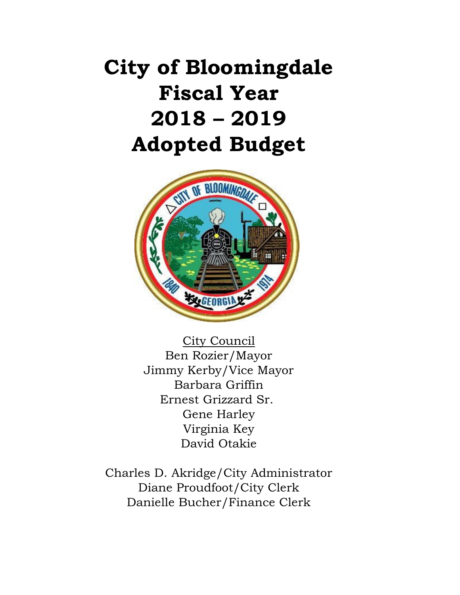# **City of Bloomingdale Fiscal Year 2018 – 2019 Adopted Budget**



City Council Ben Rozier/Mayor Jimmy Kerby/Vice Mayor Barbara Griffin Ernest Grizzard Sr. Gene Harley Virginia Key David Otakie

Charles D. Akridge/City Administrator Diane Proudfoot/City Clerk Danielle Bucher/Finance Clerk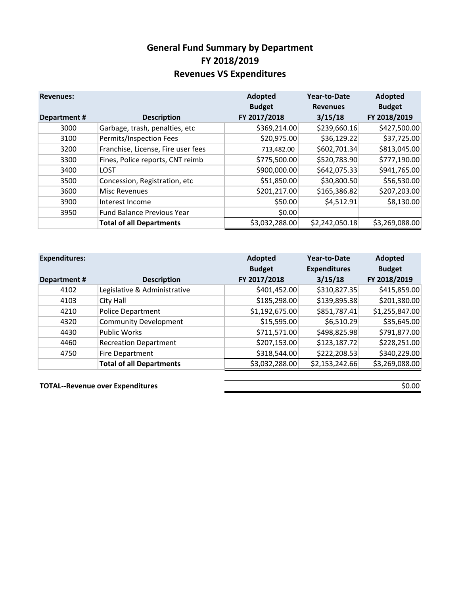#### **General Fund Summary by Department FY 2018/2019 Revenues VS Expenditures**

| <b>Revenues:</b>   |                                    | Adopted<br><b>Budget</b> | Year-to-Date<br><b>Revenues</b> | Adopted<br><b>Budget</b> |
|--------------------|------------------------------------|--------------------------|---------------------------------|--------------------------|
| <b>Department#</b> | <b>Description</b>                 | FY 2017/2018             | 3/15/18                         | FY 2018/2019             |
| 3000               | Garbage, trash, penalties, etc     | \$369,214.00             | \$239,660.16                    | \$427,500.00             |
| 3100               | Permits/Inspection Fees            | \$20,975.00              | \$36,129.22                     | \$37,725.00              |
| 3200               | Franchise, License, Fire user fees | 713,482.00               | \$602,701.34                    | \$813,045.00             |
| 3300               | Fines, Police reports, CNT reimb   | \$775,500.00             | \$520,783.90                    | \$777,190.00             |
| 3400               | <b>LOST</b>                        | \$900,000.00             | \$642,075.33                    | \$941,765.00             |
| 3500               | Concession, Registration, etc      | \$51,850.00              | \$30,800.50                     | \$56,530.00              |
| 3600               | Misc Revenues                      | \$201,217.00             | \$165,386.82                    | \$207,203.00             |
| 3900               | Interest Income                    | \$50.00                  | \$4,512.91                      | \$8,130.00               |
| 3950               | <b>Fund Balance Previous Year</b>  | \$0.00                   |                                 |                          |
|                    | <b>Total of all Departments</b>    | \$3,032,288.00           | \$2,242,050.18                  | \$3,269,088.00           |

| <b>Expenditures:</b> |                                 | Adopted<br><b>Budget</b> | Year-to-Date<br><b>Expenditures</b> | Adopted<br><b>Budget</b> |
|----------------------|---------------------------------|--------------------------|-------------------------------------|--------------------------|
| <b>Department#</b>   | <b>Description</b>              | FY 2017/2018             | 3/15/18                             | FY 2018/2019             |
| 4102                 | Legislative & Administrative    | \$401,452.00             | \$310,827.35                        | \$415,859.00             |
| 4103                 | City Hall                       | \$185,298.00             | \$139,895.38                        | \$201,380.00             |
| 4210                 | <b>Police Department</b>        | \$1,192,675.00           | \$851,787.41                        | \$1,255,847.00           |
| 4320                 | <b>Community Development</b>    | \$15,595.00              | \$6,510.29                          | \$35,645.00              |
| 4430                 | <b>Public Works</b>             | \$711,571.00             | \$498,825.98                        | \$791,877.00             |
| 4460                 | <b>Recreation Department</b>    | \$207,153.00             | \$123,187.72                        | \$228,251.00             |
| 4750                 | Fire Department                 | \$318,544.00             | \$222,208.53                        | \$340,229.00             |
|                      | <b>Total of all Departments</b> | \$3,032,288.00           | \$2,153,242.66                      | \$3,269,088.00           |

**TOTAL--Revenue over Expenditures**  $\frac{1}{2}$  **SOLOO**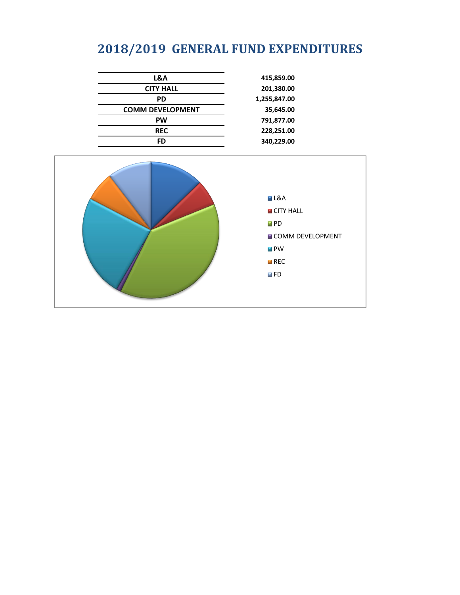# **2018/2019 GENERAL FUND EXPENDITURES**

| L&A                     | 415,859.00   |
|-------------------------|--------------|
| <b>CITY HALL</b>        | 201,380.00   |
| <b>PD</b>               | 1,255,847.00 |
| <b>COMM DEVELOPMENT</b> | 35,645.00    |
| <b>PW</b>               | 791,877.00   |
| <b>REC</b>              | 228,251.00   |
| FD                      | 340,229.00   |
|                         |              |

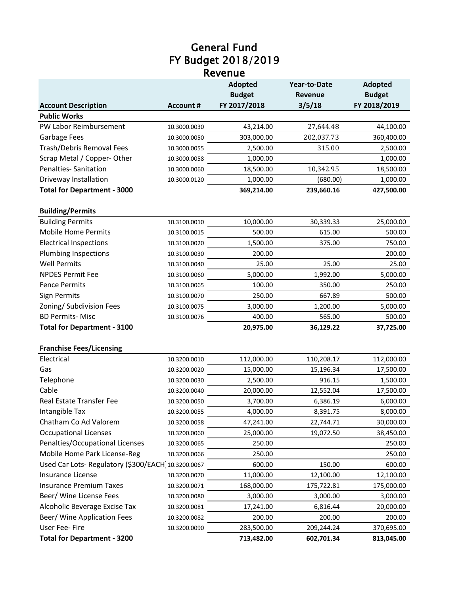#### General Fund Revenue FY Budget 2018/2019

|                                                    |                  | <b>Adopted</b> | Year-to-Date   | <b>Adopted</b> |  |
|----------------------------------------------------|------------------|----------------|----------------|----------------|--|
|                                                    |                  | <b>Budget</b>  | <b>Revenue</b> | <b>Budget</b>  |  |
| <b>Account Description</b>                         | <b>Account #</b> | FY 2017/2018   | 3/5/18         | FY 2018/2019   |  |
| <b>Public Works</b>                                |                  |                |                |                |  |
| PW Labor Reimbursement                             | 10.3000.0030     | 43,214.00      | 27,644.48      | 44,100.00      |  |
| Garbage Fees                                       | 10.3000.0050     | 303,000.00     | 202,037.73     | 360,400.00     |  |
| Trash/Debris Removal Fees                          | 10.3000.0055     | 2,500.00       | 315.00         | 2,500.00       |  |
| Scrap Metal / Copper-Other                         | 10.3000.0058     | 1,000.00       |                | 1,000.00       |  |
| Penalties- Sanitation                              | 10.3000.0060     | 18,500.00      | 10,342.95      | 18,500.00      |  |
| Driveway Installation                              | 10.3000.0120     | 1,000.00       | (680.00)       | 1,000.00       |  |
| <b>Total for Department - 3000</b>                 |                  | 369,214.00     | 239,660.16     | 427,500.00     |  |
| <b>Building/Permits</b>                            |                  |                |                |                |  |
| <b>Building Permits</b>                            | 10.3100.0010     | 10,000.00      | 30,339.33      | 25,000.00      |  |
| <b>Mobile Home Permits</b>                         | 10.3100.0015     | 500.00         | 615.00         | 500.00         |  |
| <b>Electrical Inspections</b>                      | 10.3100.0020     | 1,500.00       | 375.00         | 750.00         |  |
| Plumbing Inspections                               | 10.3100.0030     | 200.00         |                | 200.00         |  |
| <b>Well Permits</b>                                | 10.3100.0040     | 25.00          | 25.00          | 25.00          |  |
| <b>NPDES Permit Fee</b>                            | 10.3100.0060     | 5,000.00       | 1,992.00       | 5,000.00       |  |
| <b>Fence Permits</b>                               | 10.3100.0065     | 100.00         | 350.00         | 250.00         |  |
| <b>Sign Permits</b>                                | 10.3100.0070     | 250.00         | 667.89         | 500.00         |  |
| Zoning/ Subdivision Fees                           | 10.3100.0075     | 3,000.00       | 1,200.00       | 5,000.00       |  |
| <b>BD Permits- Misc</b>                            | 10.3100.0076     | 400.00         | 565.00         | 500.00         |  |
| <b>Total for Department - 3100</b>                 |                  | 20,975.00      | 36,129.22      | 37,725.00      |  |
| <b>Franchise Fees/Licensing</b>                    |                  |                |                |                |  |
| Electrical                                         | 10.3200.0010     | 112,000.00     | 110,208.17     | 112,000.00     |  |
| Gas                                                | 10.3200.0020     | 15,000.00      | 15,196.34      | 17,500.00      |  |
| Telephone                                          | 10.3200.0030     | 2,500.00       | 916.15         | 1,500.00       |  |
| Cable                                              | 10.3200.0040     | 20,000.00      | 12,552.04      | 17,500.00      |  |
| Real Estate Transfer Fee                           | 10.3200.0050     | 3,700.00       | 6,386.19       | 6,000.00       |  |
| Intangible Tax                                     | 10.3200.0055     | 4,000.00       | 8,391.75       | 8,000.00       |  |
| Chatham Co Ad Valorem                              | 10.3200.0058     | 47,241.00      | 22,744.71      | 30,000.00      |  |
| <b>Occupational Licenses</b>                       | 10.3200.0060     | 25,000.00      | 19,072.50      | 38,450.00      |  |
| Penalties/Occupational Licenses                    | 10.3200.0065     | 250.00         |                | 250.00         |  |
| Mobile Home Park License-Reg                       | 10.3200.0066     | 250.00         |                | 250.00         |  |
| Used Car Lots-Regulatory (\$300/EACH) 10.3200.0067 |                  | 600.00         | 150.00         | 600.00         |  |
| Insurance License                                  | 10.3200.0070     | 11,000.00      | 12,100.00      | 12,100.00      |  |
| <b>Insurance Premium Taxes</b>                     | 10.3200.0071     | 168,000.00     | 175,722.81     | 175,000.00     |  |
| Beer/ Wine License Fees                            | 10.3200.0080     | 3,000.00       | 3,000.00       | 3,000.00       |  |
| Alcoholic Beverage Excise Tax                      | 10.3200.0081     | 17,241.00      | 6,816.44       | 20,000.00      |  |
| Beer/ Wine Application Fees                        | 10.3200.0082     | 200.00         | 200.00         | 200.00         |  |
| User Fee- Fire                                     | 10.3200.0090     | 283,500.00     | 209,244.24     | 370,695.00     |  |
| <b>Total for Department - 3200</b>                 |                  | 713,482.00     | 602,701.34     | 813,045.00     |  |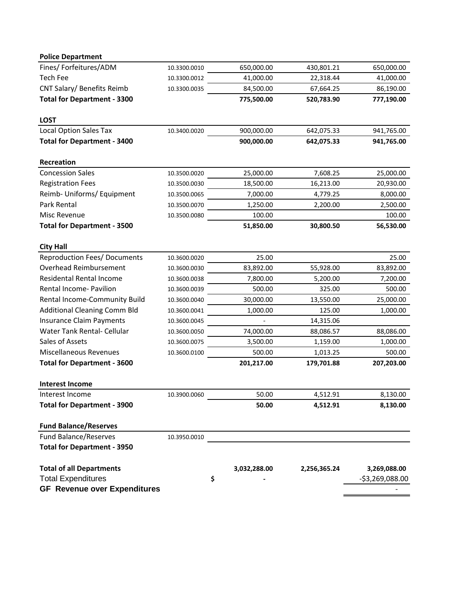| <b>Police Department</b>            |              |              |              |                  |
|-------------------------------------|--------------|--------------|--------------|------------------|
| Fines/ Forfeitures/ADM              | 10.3300.0010 | 650,000.00   | 430,801.21   | 650,000.00       |
| Tech Fee                            | 10.3300.0012 | 41,000.00    | 22,318.44    | 41,000.00        |
| CNT Salary/ Benefits Reimb          | 10.3300.0035 | 84,500.00    | 67,664.25    | 86,190.00        |
| <b>Total for Department - 3300</b>  |              | 775,500.00   | 520,783.90   | 777,190.00       |
| <b>LOST</b>                         |              |              |              |                  |
| <b>Local Option Sales Tax</b>       | 10.3400.0020 | 900,000.00   | 642,075.33   | 941,765.00       |
| <b>Total for Department - 3400</b>  |              | 900,000.00   | 642,075.33   | 941,765.00       |
| Recreation                          |              |              |              |                  |
| <b>Concession Sales</b>             | 10.3500.0020 | 25,000.00    | 7,608.25     | 25,000.00        |
| <b>Registration Fees</b>            | 10.3500.0030 | 18,500.00    | 16,213.00    | 20,930.00        |
| Reimb- Uniforms/ Equipment          | 10.3500.0065 | 7,000.00     | 4,779.25     | 8,000.00         |
| Park Rental                         | 10.3500.0070 | 1,250.00     | 2,200.00     | 2,500.00         |
| Misc Revenue                        | 10.3500.0080 | 100.00       |              | 100.00           |
| <b>Total for Department - 3500</b>  |              | 51,850.00    | 30,800.50    | 56,530.00        |
| <b>City Hall</b>                    |              |              |              |                  |
| <b>Reproduction Fees/ Documents</b> | 10.3600.0020 | 25.00        |              | 25.00            |
| Overhead Reimbursement              | 10.3600.0030 | 83,892.00    | 55,928.00    | 83,892.00        |
| <b>Residental Rental Income</b>     | 10.3600.0038 | 7,800.00     | 5,200.00     | 7,200.00         |
| Rental Income- Pavilion             | 10.3600.0039 | 500.00       | 325.00       | 500.00           |
| Rental Income-Community Build       | 10.3600.0040 | 30,000.00    | 13,550.00    | 25,000.00        |
| <b>Additional Cleaning Comm Bld</b> | 10.3600.0041 | 1,000.00     | 125.00       | 1,000.00         |
| <b>Insurance Claim Payments</b>     | 10.3600.0045 |              | 14,315.06    |                  |
| Water Tank Rental- Cellular         | 10.3600.0050 | 74,000.00    | 88,086.57    | 88,086.00        |
| Sales of Assets                     | 10.3600.0075 | 3,500.00     | 1,159.00     | 1,000.00         |
| <b>Miscellaneous Revenues</b>       | 10.3600.0100 | 500.00       | 1,013.25     | 500.00           |
| <b>Total for Department - 3600</b>  |              | 201,217.00   | 179,701.88   | 207,203.00       |
| <b>Interest Income</b>              |              |              |              |                  |
| Interest Income                     | 10.3900.0060 | 50.00        | 4,512.91     | 8,130.00         |
| <b>Total for Department - 3900</b>  |              | 50.00        | 4,512.91     | 8,130.00         |
| <b>Fund Balance/Reserves</b>        |              |              |              |                  |
| <b>Fund Balance/Reserves</b>        | 10.3950.0010 |              |              |                  |
| <b>Total for Department - 3950</b>  |              |              |              |                  |
| <b>Total of all Departments</b>     |              | 3,032,288.00 | 2,256,365.24 | 3,269,088.00     |
| <b>Total Expenditures</b>           |              | \$           |              | $-53,269,088.00$ |
| <b>GF Revenue over Expenditures</b> |              |              |              |                  |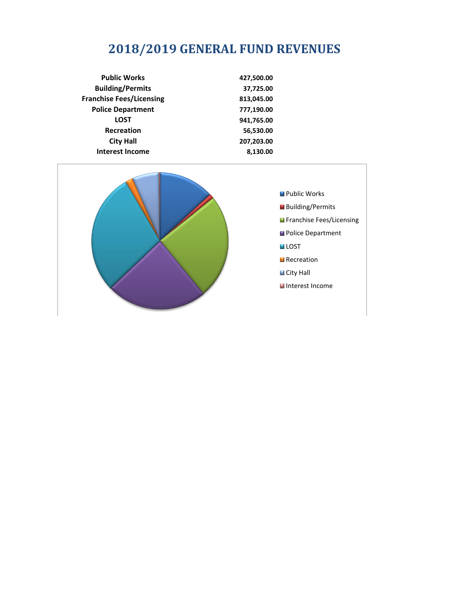# **2018/2019 GENERAL FUND REVENUES**

| <b>Public Works</b>             | 427,500.00 |
|---------------------------------|------------|
| <b>Building/Permits</b>         | 37,725.00  |
| <b>Franchise Fees/Licensing</b> | 813,045.00 |
| <b>Police Department</b>        | 777,190.00 |
| <b>LOST</b>                     | 941,765.00 |
| <b>Recreation</b>               | 56,530.00  |
| <b>City Hall</b>                | 207,203.00 |
| <b>Interest Income</b>          | 8,130.00   |

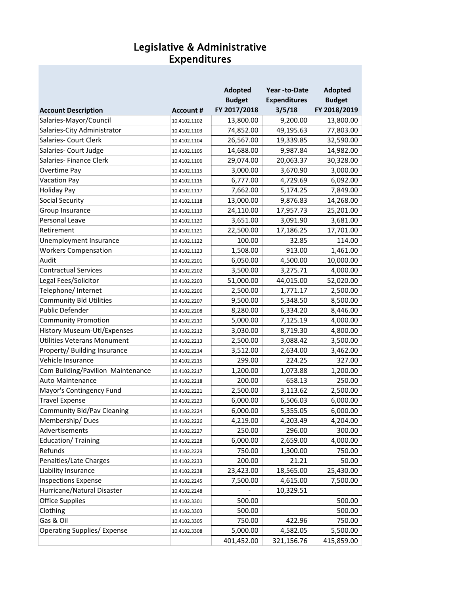#### Legislative & Administrative Expenditures

|                                    |                  | Adopted       | Year -to-Date       | <b>Adopted</b> |
|------------------------------------|------------------|---------------|---------------------|----------------|
|                                    |                  | <b>Budget</b> | <b>Expenditures</b> | <b>Budget</b>  |
| <b>Account Description</b>         | <b>Account #</b> | FY 2017/2018  | 3/5/18              | FY 2018/2019   |
| Salaries-Mayor/Council             | 10.4102.1102     | 13,800.00     | 9,200.00            | 13,800.00      |
| Salaries-City Administrator        | 10.4102.1103     | 74,852.00     | 49,195.63           | 77,803.00      |
| Salaries- Court Clerk              | 10.4102.1104     | 26,567.00     | 19,339.85           | 32,590.00      |
| Salaries- Court Judge              | 10.4102.1105     | 14,688.00     | 9,987.84            | 14,982.00      |
| Salaries- Finance Clerk            | 10.4102.1106     | 29,074.00     | 20,063.37           | 30,328.00      |
| Overtime Pay                       | 10.4102.1115     | 3,000.00      | 3,670.90            | 3,000.00       |
| <b>Vacation Pay</b>                | 10.4102.1116     | 6,777.00      | 4,729.69            | 6,092.00       |
| <b>Holiday Pay</b>                 | 10.4102.1117     | 7,662.00      | 5,174.25            | 7,849.00       |
| <b>Social Security</b>             | 10.4102.1118     | 13,000.00     | 9,876.83            | 14,268.00      |
| Group Insurance                    | 10.4102.1119     | 24,110.00     | 17,957.73           | 25,201.00      |
| Personal Leave                     | 10.4102.1120     | 3,651.00      | 3,091.90            | 3,681.00       |
| Retirement                         | 10.4102.1121     | 22,500.00     | 17,186.25           | 17,701.00      |
| Unemployment Insurance             | 10.4102.1122     | 100.00        | 32.85               | 114.00         |
| <b>Workers Compensation</b>        | 10.4102.1123     | 1,508.00      | 913.00              | 1,461.00       |
| Audit                              | 10.4102.2201     | 6,050.00      | 4,500.00            | 10,000.00      |
| <b>Contractual Services</b>        | 10.4102.2202     | 3,500.00      | 3,275.71            | 4,000.00       |
| Legal Fees/Solicitor               | 10.4102.2203     | 51,000.00     | 44,015.00           | 52,020.00      |
| Telephone/ Internet                | 10.4102.2206     | 2,500.00      | 1,771.17            | 2,500.00       |
| <b>Community Bld Utilities</b>     | 10.4102.2207     | 9,500.00      | 5,348.50            | 8,500.00       |
| Public Defender                    | 10.4102.2208     | 8,280.00      | 6,334.20            | 8,446.00       |
| <b>Community Promotion</b>         | 10.4102.2210     | 5,000.00      | 7,125.19            | 4,000.00       |
| <b>History Museum-Utl/Expenses</b> | 10.4102.2212     | 3,030.00      | 8,719.30            | 4,800.00       |
| Utilities Veterans Monument        | 10.4102.2213     | 2,500.00      | 3,088.42            | 3,500.00       |
| Property/ Building Insurance       | 10.4102.2214     | 3,512.00      | 2,634.00            | 3,462.00       |
| Vehicle Insurance                  | 10.4102.2215     | 299.00        | 224.25              | 327.00         |
| Com Building/Pavilion Maintenance  | 10.4102.2217     | 1,200.00      | 1,073.88            | 1,200.00       |
| <b>Auto Maintenance</b>            | 10.4102.2218     | 200.00        | 658.13              | 250.00         |
| Mayor's Contingency Fund           | 10.4102.2221     | 2,500.00      | 3,113.62            | 2,500.00       |
| <b>Travel Expense</b>              | 10.4102.2223     | 6,000.00      | 6,506.03            | 6,000.00       |
| <b>Community Bld/Pav Cleaning</b>  | 10.4102.2224     | 6,000.00      | 5,355.05            | 6,000.00       |
| Membership/Dues                    | 10.4102.2226     | 4,219.00      | 4,203.49            | 4,204.00       |
| Advertisements                     | 10.4102.2227     | 250.00        | 296.00              | 300.00         |
| Education/Training                 | 10.4102.2228     | 6,000.00      | 2,659.00            | 4,000.00       |
| Refunds                            | 10.4102.2229     | 750.00        | 1,300.00            | 750.00         |
| Penalties/Late Charges             | 10.4102.2233     | 200.00        | 21.21               | 50.00          |
| Liability Insurance                | 10.4102.2238     | 23,423.00     | 18,565.00           | 25,430.00      |
| <b>Inspections Expense</b>         | 10.4102.2245     | 7,500.00      | 4,615.00            | 7,500.00       |
| Hurricane/Natural Disaster         | 10.4102.2248     |               | 10,329.51           |                |
| <b>Office Supplies</b>             | 10.4102.3301     | 500.00        |                     | 500.00         |
| Clothing                           | 10.4102.3303     | 500.00        |                     | 500.00         |
| Gas & Oil                          | 10.4102.3305     | 750.00        | 422.96              | 750.00         |
| <b>Operating Supplies/ Expense</b> | 10.4102.3308     | 5,000.00      | 4,582.05            | 5,500.00       |
|                                    |                  | 401,452.00    | 321,156.76          | 415,859.00     |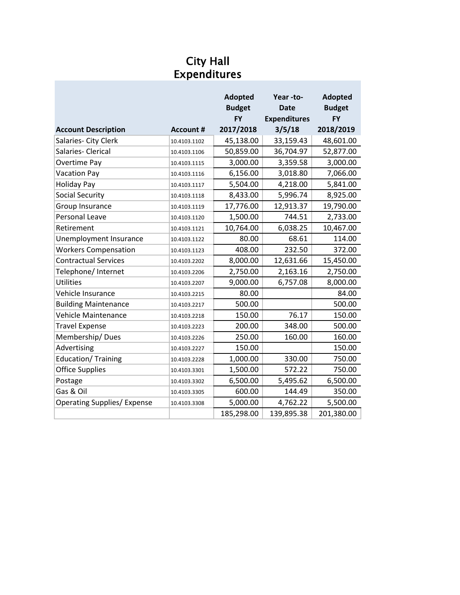#### City Hall Expenditures

|                                    |                  | <b>Adopted</b><br><b>Budget</b><br><b>FY</b> | Year-to-<br><b>Date</b><br><b>Expenditures</b> | <b>Adopted</b><br><b>Budget</b><br><b>FY</b> |
|------------------------------------|------------------|----------------------------------------------|------------------------------------------------|----------------------------------------------|
| <b>Account Description</b>         | <b>Account #</b> | 2017/2018                                    | 3/5/18                                         | 2018/2019                                    |
| Salaries- City Clerk               | 10.4103.1102     | 45,138.00                                    | 33,159.43                                      | 48,601.00                                    |
| Salaries- Clerical                 | 10.4103.1106     | 50,859.00                                    | 36,704.97                                      | 52,877.00                                    |
| Overtime Pay                       | 10.4103.1115     | 3,000.00                                     | 3,359.58                                       | 3,000.00                                     |
| <b>Vacation Pay</b>                | 10.4103.1116     | 6,156.00                                     | 3,018.80                                       | 7,066.00                                     |
| <b>Holiday Pay</b>                 | 10.4103.1117     | 5,504.00                                     | 4,218.00                                       | 5,841.00                                     |
| Social Security                    | 10.4103.1118     | 8,433.00                                     | 5,996.74                                       | 8,925.00                                     |
| Group Insurance                    | 10.4103.1119     | 17,776.00                                    | 12,913.37                                      | 19,790.00                                    |
| Personal Leave                     | 10.4103.1120     | 1,500.00                                     | 744.51                                         | 2,733.00                                     |
| Retirement                         | 10.4103.1121     | 10,764.00                                    | 6,038.25                                       | 10,467.00                                    |
| Unemployment Insurance             | 10.4103.1122     | 80.00                                        | 68.61                                          | 114.00                                       |
| <b>Workers Compensation</b>        | 10.4103.1123     | 408.00                                       | 232.50                                         | 372.00                                       |
| <b>Contractual Services</b>        | 10.4103.2202     | 8,000.00                                     | 12,631.66                                      | 15,450.00                                    |
| Telephone/Internet                 | 10.4103.2206     | 2,750.00                                     | 2,163.16                                       | 2,750.00                                     |
| <b>Utilities</b>                   | 10.4103.2207     | 9,000.00                                     | 6,757.08                                       | 8,000.00                                     |
| Vehicle Insurance                  | 10.4103.2215     | 80.00                                        |                                                | 84.00                                        |
| <b>Building Maintenance</b>        | 10.4103.2217     | 500.00                                       |                                                | 500.00                                       |
| <b>Vehicle Maintenance</b>         | 10.4103.2218     | 150.00                                       | 76.17                                          | 150.00                                       |
| <b>Travel Expense</b>              | 10.4103.2223     | 200.00                                       | 348.00                                         | 500.00                                       |
| Membership/Dues                    | 10.4103.2226     | 250.00                                       | 160.00                                         | 160.00                                       |
| Advertising                        | 10.4103.2227     | 150.00                                       |                                                | 150.00                                       |
| Education/Training                 | 10.4103.2228     | 1,000.00                                     | 330.00                                         | 750.00                                       |
| <b>Office Supplies</b>             | 10.4103.3301     | 1,500.00                                     | 572.22                                         | 750.00                                       |
| Postage                            | 10.4103.3302     | 6,500.00                                     | 5,495.62                                       | 6,500.00                                     |
| Gas & Oil                          | 10.4103.3305     | 600.00                                       | 144.49                                         | 350.00                                       |
| <b>Operating Supplies/ Expense</b> | 10.4103.3308     | 5,000.00                                     | 4,762.22                                       | 5,500.00                                     |
|                                    |                  | 185,298.00                                   | 139,895.38                                     | 201,380.00                                   |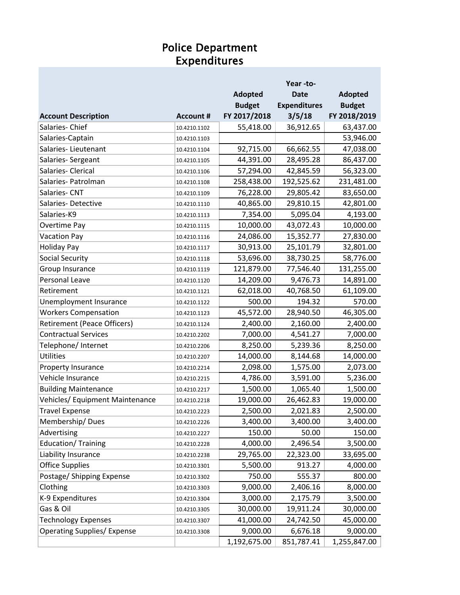#### Police Department Expenditures

|                                    |                  |                | Year-to-            |                |
|------------------------------------|------------------|----------------|---------------------|----------------|
|                                    |                  | <b>Adopted</b> | <b>Date</b>         | <b>Adopted</b> |
|                                    |                  | <b>Budget</b>  | <b>Expenditures</b> | <b>Budget</b>  |
| <b>Account Description</b>         | <b>Account #</b> | FY 2017/2018   | 3/5/18              | FY 2018/2019   |
| Salaries-Chief                     | 10.4210.1102     | 55,418.00      | 36,912.65           | 63,437.00      |
| Salaries-Captain                   | 10.4210.1103     |                |                     | 53,946.00      |
| Salaries-Lieutenant                | 10.4210.1104     | 92,715.00      | 66,662.55           | 47,038.00      |
| Salaries-Sergeant                  | 10.4210.1105     | 44,391.00      | 28,495.28           | 86,437.00      |
| Salaries-Clerical                  | 10.4210.1106     | 57,294.00      | 42,845.59           | 56,323.00      |
| Salaries- Patrolman                | 10.4210.1108     | 258,438.00     | 192,525.62          | 231,481.00     |
| Salaries-CNT                       | 10.4210.1109     | 76,228.00      | 29,805.42           | 83,650.00      |
| Salaries-Detective                 | 10.4210.1110     | 40,865.00      | 29,810.15           | 42,801.00      |
| Salaries-K9                        | 10.4210.1113     | 7,354.00       | 5,095.04            | 4,193.00       |
| Overtime Pay                       | 10.4210.1115     | 10,000.00      | 43,072.43           | 10,000.00      |
| <b>Vacation Pay</b>                | 10.4210.1116     | 24,086.00      | 15,352.77           | 27,830.00      |
| <b>Holiday Pay</b>                 | 10.4210.1117     | 30,913.00      | 25,101.79           | 32,801.00      |
| <b>Social Security</b>             | 10.4210.1118     | 53,696.00      | 38,730.25           | 58,776.00      |
| Group Insurance                    | 10.4210.1119     | 121,879.00     | 77,546.40           | 131,255.00     |
| Personal Leave                     | 10.4210.1120     | 14,209.00      | 9,476.73            | 14,891.00      |
| Retirement                         | 10.4210.1121     | 62,018.00      | 40,768.50           | 61,109.00      |
| Unemployment Insurance             | 10.4210.1122     | 500.00         | 194.32              | 570.00         |
| <b>Workers Compensation</b>        | 10.4210.1123     | 45,572.00      | 28,940.50           | 46,305.00      |
| <b>Retirement (Peace Officers)</b> | 10.4210.1124     | 2,400.00       | 2,160.00            | 2,400.00       |
| <b>Contractual Services</b>        | 10.4210.2202     | 7,000.00       | 4,541.27            | 7,000.00       |
| Telephone/ Internet                | 10.4210.2206     | 8,250.00       | 5,239.36            | 8,250.00       |
| <b>Utilities</b>                   | 10.4210.2207     | 14,000.00      | 8,144.68            | 14,000.00      |
| Property Insurance                 | 10.4210.2214     | 2,098.00       | 1,575.00            | 2,073.00       |
| Vehicle Insurance                  | 10.4210.2215     | 4,786.00       | 3,591.00            | 5,236.00       |
| <b>Building Maintenance</b>        | 10.4210.2217     | 1,500.00       | 1,065.40            | 1,500.00       |
| Vehicles/ Equipment Maintenance    | 10.4210.2218     | 19,000.00      | 26,462.83           | 19,000.00      |
| <b>Travel Expense</b>              | 10.4210.2223     | 2,500.00       | 2,021.83            | 2,500.00       |
| Membership/Dues                    | 10.4210.2226     | 3,400.00       | 3,400.00            | 3,400.00       |
| Advertising                        | 10.4210.2227     | 150.00         | 50.00               | 150.00         |
| Education/Training                 | 10.4210.2228     | 4,000.00       | 2,496.54            | 3,500.00       |
| Liability Insurance                | 10.4210.2238     | 29,765.00      | 22,323.00           | 33,695.00      |
| <b>Office Supplies</b>             | 10.4210.3301     | 5,500.00       | 913.27              | 4,000.00       |
| Postage/ Shipping Expense          | 10.4210.3302     | 750.00         | 555.37              | 800.00         |
| Clothing                           | 10.4210.3303     | 9,000.00       | 2,406.16            | 8,000.00       |
| K-9 Expenditures                   | 10.4210.3304     | 3,000.00       | 2,175.79            | 3,500.00       |
| Gas & Oil                          | 10.4210.3305     | 30,000.00      | 19,911.24           | 30,000.00      |
| <b>Technology Expenses</b>         | 10.4210.3307     | 41,000.00      | 24,742.50           | 45,000.00      |
| <b>Operating Supplies/ Expense</b> | 10.4210.3308     | 9,000.00       | 6,676.18            | 9,000.00       |
|                                    |                  | 1,192,675.00   | 851,787.41          | 1,255,847.00   |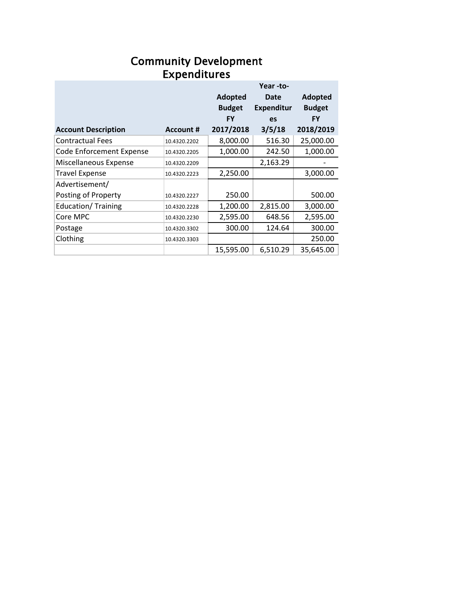#### Expenditures Community Development

|                                 |                  |               | Year-to-          |               |
|---------------------------------|------------------|---------------|-------------------|---------------|
|                                 |                  | Adopted       | Date              | Adopted       |
|                                 |                  | <b>Budget</b> | <b>Expenditur</b> | <b>Budget</b> |
|                                 |                  | FY            | es                | <b>FY</b>     |
| <b>Account Description</b>      | <b>Account #</b> | 2017/2018     | 3/5/18            | 2018/2019     |
| <b>Contractual Fees</b>         | 10.4320.2202     | 8,000.00      | 516.30            | 25,000.00     |
| <b>Code Enforcement Expense</b> | 10.4320.2205     | 1,000.00      | 242.50            | 1,000.00      |
| Miscellaneous Expense           | 10.4320.2209     |               | 2,163.29          |               |
| <b>Travel Expense</b>           | 10.4320.2223     | 2,250.00      |                   | 3,000.00      |
| Advertisement/                  |                  |               |                   |               |
| Posting of Property             | 10.4320.2227     | 250.00        |                   | 500.00        |
| <b>Education/ Training</b>      | 10.4320.2228     | 1,200.00      | 2,815.00          | 3,000.00      |
| Core MPC                        | 10.4320.2230     | 2,595.00      | 648.56            | 2,595.00      |
| Postage                         | 10.4320.3302     | 300.00        | 124.64            | 300.00        |
| Clothing                        | 10.4320.3303     |               |                   | 250.00        |
|                                 |                  | 15,595.00     | 6,510.29          | 35,645.00     |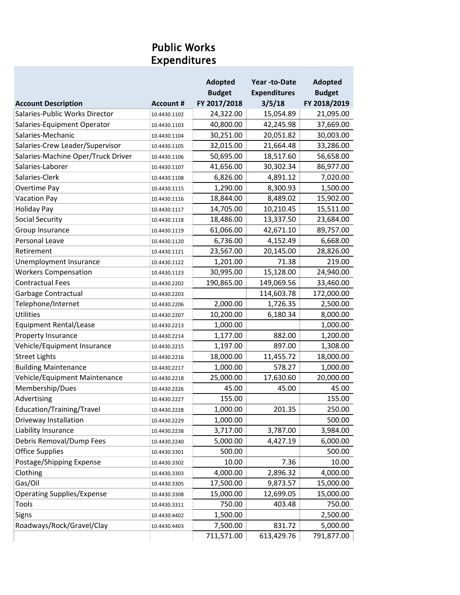### Public Works Expenditures

|                                    |                  | <b>Adopted</b> | Year -to-Date       | <b>Adopted</b> |
|------------------------------------|------------------|----------------|---------------------|----------------|
|                                    |                  | <b>Budget</b>  | <b>Expenditures</b> | <b>Budget</b>  |
| <b>Account Description</b>         | <b>Account #</b> | FY 2017/2018   | 3/5/18              | FY 2018/2019   |
| Salaries-Public Works Director     | 10.4430.1102     | 24,322.00      | 15,054.89           | 21,095.00      |
| Salaries-Equipment Operator        | 10.4430.1103     | 40,800.00      | 42,245.98           | 37,669.00      |
| Salaries-Mechanic                  | 10.4430.1104     | 30,251.00      | 20,051.82           | 30,003.00      |
| Salaries-Crew Leader/Supervisor    | 10.4430.1105     | 32,015.00      | 21,664.48           | 33,286.00      |
| Salaries-Machine Oper/Truck Driver | 10.4430.1106     | 50,695.00      | 18,517.60           | 56,658.00      |
| Salaries-Laborer                   | 10.4430.1107     | 41,656.00      | 30,302.34           | 86,977.00      |
| Salaries-Clerk                     | 10.4430.1108     | 6,826.00       | 4,891.12            | 7,020.00       |
| Overtime Pay                       | 10.4430.1115     | 1,290.00       | 8,300.93            | 1,500.00       |
| <b>Vacation Pay</b>                | 10.4430.1116     | 18,844.00      | 8,489.02            | 15,902.00      |
| <b>Holiday Pay</b>                 | 10.4430.1117     | 14,705.00      | 10,210.45           | 15,511.00      |
| <b>Social Security</b>             | 10.4430.1118     | 18,486.00      | 13,337.50           | 23,684.00      |
| Group Insurance                    | 10.4430.1119     | 61,066.00      | 42,671.10           | 89,757.00      |
| Personal Leave                     | 10.4430.1120     | 6,736.00       | 4,152.49            | 6,668.00       |
| Retirement                         | 10.4430.1121     | 23,567.00      | 20,145.00           | 28,826.00      |
| Unemployment Insurance             | 10.4430.1122     | 1,201.00       | 71.38               | 219.00         |
| <b>Workers Compensation</b>        | 10.4430.1123     | 30,995.00      | 15,128.00           | 24,940.00      |
| <b>Contractual Fees</b>            | 10.4430.2202     | 190,865.00     | 149,069.56          | 33,460.00      |
| Garbage Contractual                | 10.4430.2203     |                | 114,603.78          | 172,000.00     |
| Telephone/Internet                 | 10.4430.2206     | 2,000.00       | 1,726.35            | 2,500.00       |
| <b>Utilities</b>                   | 10.4430.2207     | 10,200.00      | 6,180.34            | 8,000.00       |
| <b>Equipment Rental/Lease</b>      | 10.4430.2213     | 1,000.00       |                     | 1,000.00       |
| Property Insurance                 | 10.4430.2214     | 1,177.00       | 882.00              | 1,200.00       |
| Vehicle/Equipment Insurance        | 10.4430.2215     | 1,197.00       | 897.00              | 1,308.00       |
| <b>Street Lights</b>               | 10.4430.2216     | 18,000.00      | 11,455.72           | 18,000.00      |
| <b>Building Maintenance</b>        | 10.4430.2217     | 1,000.00       | 578.27              | 1,000.00       |
| Vehicle/Equipment Maintenance      | 10.4430.2218     | 25,000.00      | 17,630.60           | 20,000.00      |
| Membership/Dues                    | 10.4430.2226     | 45.00          | 45.00               | 45.00          |
| Advertising                        | 10.4430.2227     | 155.00         |                     | 155.00         |
| Education/Training/Travel          | 10.4430.2228     | 1,000.00       | 201.35              | 250.00         |
| Driveway Installation              | 10.4430.2229     | 1,000.00       |                     | 500.00         |
| Liability Insurance                | 10.4430.2238     | 3,717.00       | 3,787.00            | 3,984.00       |
| Debris Removal/Dump Fees           | 10.4430.2240     | 5,000.00       | 4,427.19            | 6,000.00       |
| <b>Office Supplies</b>             | 10.4430.3301     | 500.00         |                     | 500.00         |
| Postage/Shipping Expense           | 10.4430.3302     | 10.00          | 7.36                | 10.00          |
| Clothing                           | 10.4430.3303     | 4,000.00       | 2,896.32            | 4,000.00       |
| Gas/Oil                            | 10.4430.3305     | 17,500.00      | 9,873.57            | 15,000.00      |
| <b>Operating Supplies/Expense</b>  | 10.4430.3308     | 15,000.00      | 12,699.05           | 15,000.00      |
| Tools                              | 10.4430.3311     | 750.00         | 403.48              | 750.00         |
| Signs                              | 10.4430.4402     | 1,500.00       |                     | 2,500.00       |
| Roadways/Rock/Gravel/Clay          | 10.4430.4403     | 7,500.00       | 831.72              | 5,000.00       |
|                                    |                  | 711,571.00     | 613,429.76          | 791,877.00     |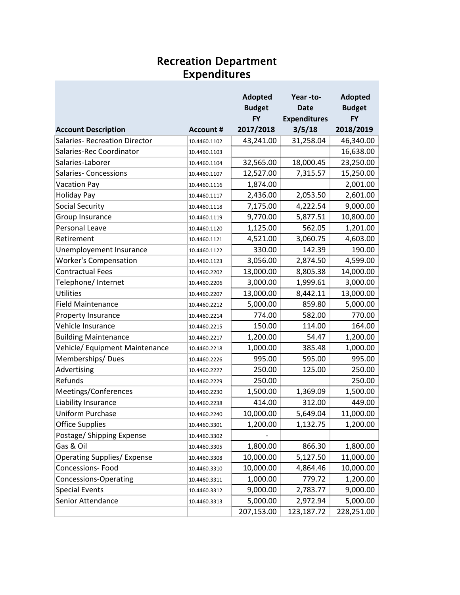#### Recreation Department Expenditures

|                                      |                  | <b>Adopted</b> | Year-to-            | <b>Adopted</b> |
|--------------------------------------|------------------|----------------|---------------------|----------------|
|                                      |                  | <b>Budget</b>  | <b>Date</b>         | <b>Budget</b>  |
|                                      |                  | <b>FY</b>      | <b>Expenditures</b> | <b>FY</b>      |
| <b>Account Description</b>           | <b>Account #</b> | 2017/2018      | 3/5/18              | 2018/2019      |
| <b>Salaries- Recreation Director</b> | 10.4460.1102     | 43,241.00      | 31,258.04           | 46,340.00      |
| Salaries-Rec Coordinator             | 10.4460.1103     |                |                     | 16,638.00      |
| Salaries-Laborer                     | 10.4460.1104     | 32,565.00      | 18,000.45           | 23,250.00      |
| <b>Salaries- Concessions</b>         | 10.4460.1107     | 12,527.00      | 7,315.57            | 15,250.00      |
| <b>Vacation Pay</b>                  | 10.4460.1116     | 1,874.00       |                     | 2,001.00       |
| <b>Holiday Pay</b>                   | 10.4460.1117     | 2,436.00       | 2,053.50            | 2,601.00       |
| <b>Social Security</b>               | 10.4460.1118     | 7,175.00       | 4,222.54            | 9,000.00       |
| Group Insurance                      | 10.4460.1119     | 9,770.00       | 5,877.51            | 10,800.00      |
| Personal Leave                       | 10.4460.1120     | 1,125.00       | 562.05              | 1,201.00       |
| Retirement                           | 10.4460.1121     | 4,521.00       | 3,060.75            | 4,603.00       |
| Unemployement Insurance              | 10.4460.1122     | 330.00         | 142.39              | 190.00         |
| <b>Worker's Compensation</b>         | 10.4460.1123     | 3,056.00       | 2,874.50            | 4,599.00       |
| <b>Contractual Fees</b>              | 10.4460.2202     | 13,000.00      | 8,805.38            | 14,000.00      |
| Telephone/ Internet                  | 10.4460.2206     | 3,000.00       | 1,999.61            | 3,000.00       |
| <b>Utilities</b>                     | 10.4460.2207     | 13,000.00      | 8,442.11            | 13,000.00      |
| <b>Field Maintenance</b>             | 10.4460.2212     | 5,000.00       | 859.80              | 5,000.00       |
| Property Insurance                   | 10.4460.2214     | 774.00         | 582.00              | 770.00         |
| Vehicle Insurance                    | 10.4460.2215     | 150.00         | 114.00              | 164.00         |
| <b>Building Maintenance</b>          | 10.4460.2217     | 1,200.00       | 54.47               | 1,200.00       |
| Vehicle/ Equipment Maintenance       | 10.4460.2218     | 1,000.00       | 385.48              | 1,000.00       |
| Memberships/Dues                     | 10.4460.2226     | 995.00         | 595.00              | 995.00         |
| Advertising                          | 10.4460.2227     | 250.00         | 125.00              | 250.00         |
| Refunds                              | 10.4460.2229     | 250.00         |                     | 250.00         |
| Meetings/Conferences                 | 10.4460.2230     | 1,500.00       | 1,369.09            | 1,500.00       |
| Liability Insurance                  | 10.4460.2238     | 414.00         | 312.00              | 449.00         |
| <b>Uniform Purchase</b>              | 10.4460.2240     | 10,000.00      | 5,649.04            | 11,000.00      |
| <b>Office Supplies</b>               | 10.4460.3301     | 1,200.00       | 1,132.75            | 1,200.00       |
| Postage/ Shipping Expense            | 10.4460.3302     |                |                     |                |
| Gas & Oil                            | 10.4460.3305     | 1,800.00       | 866.30              | 1,800.00       |
| <b>Operating Supplies/ Expense</b>   | 10.4460.3308     | 10,000.00      | 5,127.50            | 11,000.00      |
| Concessions-Food                     | 10.4460.3310     | 10,000.00      | 4,864.46            | 10,000.00      |
| <b>Concessions-Operating</b>         | 10.4460.3311     | 1,000.00       | 779.72              | 1,200.00       |
| <b>Special Events</b>                | 10.4460.3312     | 9,000.00       | 2,783.77            | 9,000.00       |
| Senior Attendance                    | 10.4460.3313     | 5,000.00       | 2,972.94            | 5,000.00       |
|                                      |                  | 207,153.00     | 123,187.72          | 228,251.00     |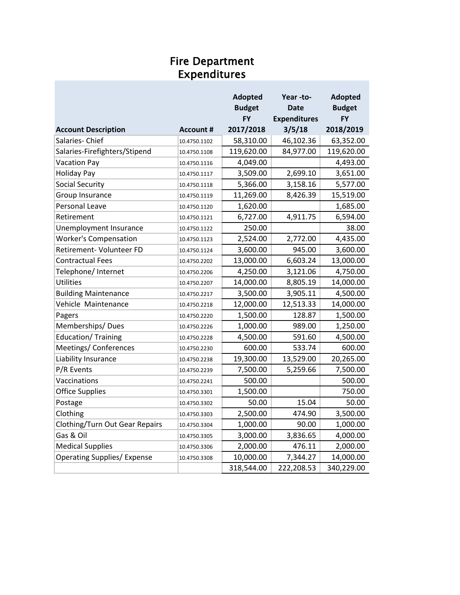#### Fire Department Expenditures

|                                    |                  | <b>Adopted</b> | Year -to-           | <b>Adopted</b> |
|------------------------------------|------------------|----------------|---------------------|----------------|
|                                    |                  | <b>Budget</b>  | <b>Date</b>         | <b>Budget</b>  |
|                                    |                  | <b>FY</b>      | <b>Expenditures</b> | FY             |
| <b>Account Description</b>         | <b>Account #</b> | 2017/2018      | 3/5/18              | 2018/2019      |
| Salaries-Chief                     | 10.4750.1102     | 58,310.00      | 46,102.36           | 63,352.00      |
| Salaries-Firefighters/Stipend      | 10.4750.1108     | 119,620.00     | 84,977.00           | 119,620.00     |
| <b>Vacation Pay</b>                | 10.4750.1116     | 4,049.00       |                     | 4,493.00       |
| <b>Holiday Pay</b>                 | 10.4750.1117     | 3,509.00       | 2,699.10            | 3,651.00       |
| <b>Social Security</b>             | 10.4750.1118     | 5,366.00       | 3,158.16            | 5,577.00       |
| Group Insurance                    | 10.4750.1119     | 11,269.00      | 8,426.39            | 15,519.00      |
| Personal Leave                     | 10.4750.1120     | 1,620.00       |                     | 1,685.00       |
| Retirement                         | 10.4750.1121     | 6,727.00       | 4,911.75            | 6,594.00       |
| Unemployment Insurance             | 10.4750.1122     | 250.00         |                     | 38.00          |
| <b>Worker's Compensation</b>       | 10.4750.1123     | 2,524.00       | 2,772.00            | 4,435.00       |
| Retirement- Volunteer FD           | 10.4750.1124     | 3,600.00       | 945.00              | 3,600.00       |
| <b>Contractual Fees</b>            | 10.4750.2202     | 13,000.00      | 6,603.24            | 13,000.00      |
| Telephone/ Internet                | 10.4750.2206     | 4,250.00       | 3,121.06            | 4,750.00       |
| <b>Utilities</b>                   | 10.4750.2207     | 14,000.00      | 8,805.19            | 14,000.00      |
| <b>Building Maintenance</b>        | 10.4750.2217     | 3,500.00       | 3,905.11            | 4,500.00       |
| Vehicle Maintenance                | 10.4750.2218     | 12,000.00      | 12,513.33           | 14,000.00      |
| Pagers                             | 10.4750.2220     | 1,500.00       | 128.87              | 1,500.00       |
| Memberships/Dues                   | 10.4750.2226     | 1,000.00       | 989.00              | 1,250.00       |
| Education/Training                 | 10.4750.2228     | 4,500.00       | 591.60              | 4,500.00       |
| Meetings/ Conferences              | 10.4750.2230     | 600.00         | 533.74              | 600.00         |
| Liability Insurance                | 10.4750.2238     | 19,300.00      | 13,529.00           | 20,265.00      |
| P/R Events                         | 10.4750.2239     | 7,500.00       | 5,259.66            | 7,500.00       |
| Vaccinations                       | 10.4750.2241     | 500.00         |                     | 500.00         |
| <b>Office Supplies</b>             | 10.4750.3301     | 1,500.00       |                     | 750.00         |
| Postage                            | 10.4750.3302     | 50.00          | 15.04               | 50.00          |
| Clothing                           | 10.4750.3303     | 2,500.00       | 474.90              | 3,500.00       |
| Clothing/Turn Out Gear Repairs     | 10.4750.3304     | 1,000.00       | 90.00               | 1,000.00       |
| Gas & Oil                          | 10.4750.3305     | 3,000.00       | 3,836.65            | 4,000.00       |
| <b>Medical Supplies</b>            | 10.4750.3306     | 2,000.00       | 476.11              | 2,000.00       |
| <b>Operating Supplies/ Expense</b> | 10.4750.3308     | 10,000.00      | 7,344.27            | 14,000.00      |
|                                    |                  | 318,544.00     | 222,208.53          | 340,229.00     |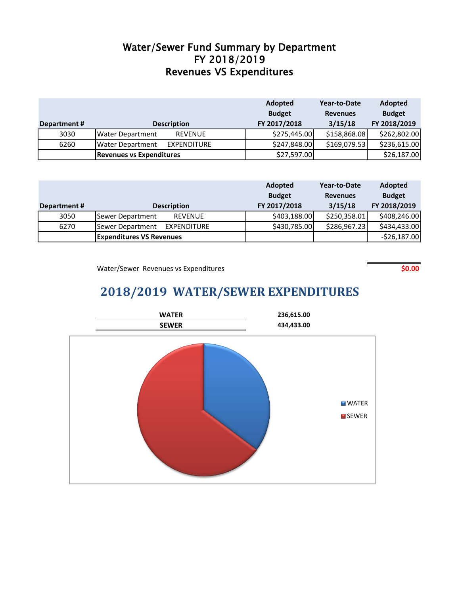#### Revenues VS Expenditures FY 2018/2019 Water/Sewer Fund Summary by Department

|              |                                               | Adopted      | Year-to-Date    | <b>Adopted</b> |
|--------------|-----------------------------------------------|--------------|-----------------|----------------|
|              | <b>Budget</b>                                 |              | <b>Revenues</b> | <b>Budget</b>  |
| Department # | <b>Description</b>                            | FY 2017/2018 | 3/15/18         | FY 2018/2019   |
| 3030         | <b>REVENUE</b><br><b>Water Department</b>     | \$275,445.00 | \$158,868.08    | \$262,802.00   |
| 6260         | <b>EXPENDITURE</b><br><b>Water Department</b> | \$247,848.00 | \$169,079.53    | \$236,615.00   |
|              | Revenues vs Expenditures                      | \$27,597.00  |                 | \$26,187.00    |

|             |                                    | <b>Adopted</b><br>Year-to-Date |                 | Adopted       |
|-------------|------------------------------------|--------------------------------|-----------------|---------------|
|             |                                    | <b>Budget</b>                  | <b>Revenues</b> | <b>Budget</b> |
| Department# | <b>Description</b>                 | FY 2017/2018                   | 3/15/18         | FY 2018/2019  |
| 3050        | Sewer Department<br><b>REVENUE</b> | \$403,188.00                   | \$250,358.01    | \$408,246.00  |
| 6270        | EXPENDITURE<br>Sewer Department    | \$430,785.00                   | \$286,967.23    | \$434,433.00  |
|             | <b>Expenditures VS Revenues</b>    |                                |                 | $-526,187.00$ |

Water/Sewer Revenues vs Expenditures **\$0.00** and \$0.00

### **2018/2019 WATER/SEWER EXPENDITURES**

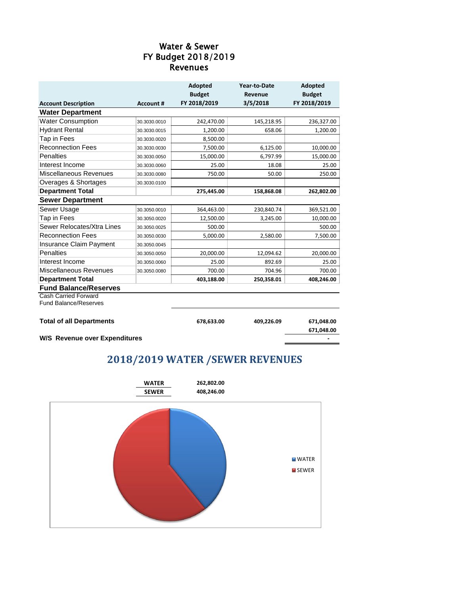#### Revenues FY Budget 2018/2019 Water & Sewer

|                                 |                  | <b>Adopted</b> | Year-to-Date | <b>Adopted</b> |
|---------------------------------|------------------|----------------|--------------|----------------|
|                                 |                  | <b>Budget</b>  | Revenue      | <b>Budget</b>  |
| <b>Account Description</b>      | <b>Account #</b> | FY 2018/2019   | 3/5/2018     | FY 2018/2019   |
| <b>Water Department</b>         |                  |                |              |                |
| <b>Water Consumption</b>        | 30.3030.0010     | 242,470.00     | 145,218.95   | 236,327.00     |
| <b>Hydrant Rental</b>           | 30.3030.0015     | 1,200.00       | 658.06       | 1,200.00       |
| Tap in Fees                     | 30.3030.0020     | 8,500.00       |              |                |
| <b>Reconnection Fees</b>        | 30.3030.0030     | 7,500.00       | 6,125.00     | 10,000.00      |
| Penalties                       | 30.3030.0050     | 15,000.00      | 6,797.99     | 15,000.00      |
| Interest Income                 | 30.3030.0060     | 25.00          | 18.08        | 25.00          |
| Miscellaneous Revenues          | 30.3030.0080     | 750.00         | 50.00        | 250.00         |
| Overages & Shortages            | 30.3030.0100     |                |              |                |
| <b>Department Total</b>         |                  | 275,445.00     | 158,868.08   | 262,802.00     |
| <b>Sewer Department</b>         |                  |                |              |                |
| Sewer Usage                     | 30.3050.0010     | 364,463.00     | 230,840.74   | 369,521.00     |
| Tap in Fees                     | 30.3050.0020     | 12,500.00      | 3,245.00     | 10,000.00      |
| Sewer Relocates/Xtra Lines      | 30.3050.0025     | 500.00         |              | 500.00         |
| <b>Reconnection Fees</b>        | 30.3050.0030     | 5,000.00       | 2,580.00     | 7,500.00       |
| Insurance Claim Payment         | 30.3050.0045     |                |              |                |
| <b>Penalties</b>                | 30.3050.0050     | 20,000.00      | 12,094.62    | 20,000.00      |
| Interest Income                 | 30.3050.0060     | 25.00          | 892.69       | 25.00          |
| Miscellaneous Revenues          | 30.3050.0080     | 700.00         | 704.96       | 700.00         |
| <b>Department Total</b>         |                  | 403,188.00     | 250,358.01   | 408,246.00     |
| <b>Fund Balance/Reserves</b>    |                  |                |              |                |
| <b>Cash Carried Forward</b>     |                  |                |              |                |
| <b>Fund Balance/Reserves</b>    |                  |                |              |                |
|                                 |                  |                |              |                |
| <b>Total of all Departments</b> |                  | 678,633.00     | 409,226.09   | 671,048.00     |
|                                 |                  |                |              | 671,048.00     |

**W/S Revenue over Expenditures -**

#### **2018/2019 WATER /SEWER REVENUES**

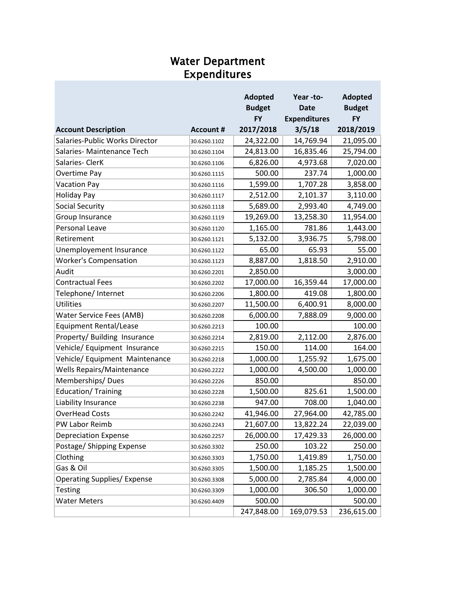#### Water Department Expenditures

|                                    |                  | <b>Adopted</b> | Year-to-            | <b>Adopted</b> |
|------------------------------------|------------------|----------------|---------------------|----------------|
|                                    |                  | <b>Budget</b>  | <b>Date</b>         | <b>Budget</b>  |
|                                    |                  | <b>FY</b>      | <b>Expenditures</b> | <b>FY</b>      |
| <b>Account Description</b>         | <b>Account #</b> | 2017/2018      | 3/5/18              | 2018/2019      |
| Salaries-Public Works Director     | 30.6260.1102     | 24,322.00      | 14,769.94           | 21,095.00      |
| Salaries-Maintenance Tech          | 30.6260.1104     | 24,813.00      | 16,835.46           | 25,794.00      |
| Salaries-ClerK                     | 30.6260.1106     | 6,826.00       | 4,973.68            | 7,020.00       |
| Overtime Pay                       | 30.6260.1115     | 500.00         | 237.74              | 1,000.00       |
| <b>Vacation Pay</b>                | 30.6260.1116     | 1,599.00       | 1,707.28            | 3,858.00       |
| <b>Holiday Pay</b>                 | 30.6260.1117     | 2,512.00       | 2,101.37            | 3,110.00       |
| <b>Social Security</b>             | 30.6260.1118     | 5,689.00       | 2,993.40            | 4,749.00       |
| Group Insurance                    | 30.6260.1119     | 19,269.00      | 13,258.30           | 11,954.00      |
| Personal Leave                     | 30.6260.1120     | 1,165.00       | 781.86              | 1,443.00       |
| Retirement                         | 30.6260.1121     | 5,132.00       | 3,936.75            | 5,798.00       |
| Unemployement Insurance            | 30.6260.1122     | 65.00          | 65.93               | 55.00          |
| <b>Worker's Compensation</b>       | 30.6260.1123     | 8,887.00       | 1,818.50            | 2,910.00       |
| Audit                              | 30.6260.2201     | 2,850.00       |                     | 3,000.00       |
| <b>Contractual Fees</b>            | 30.6260.2202     | 17,000.00      | 16,359.44           | 17,000.00      |
| Telephone/ Internet                | 30.6260.2206     | 1,800.00       | 419.08              | 1,800.00       |
| <b>Utilities</b>                   | 30.6260.2207     | 11,500.00      | 6,400.91            | 8,000.00       |
| Water Service Fees (AMB)           | 30.6260.2208     | 6,000.00       | 7,888.09            | 9,000.00       |
| <b>Equipment Rental/Lease</b>      | 30.6260.2213     | 100.00         |                     | 100.00         |
| Property/ Building Insurance       | 30.6260.2214     | 2,819.00       | 2,112.00            | 2,876.00       |
| Vehicle/ Equipment Insurance       | 30.6260.2215     | 150.00         | 114.00              | 164.00         |
| Vehicle/ Equipment Maintenance     | 30.6260.2218     | 1,000.00       | 1,255.92            | 1,675.00       |
| <b>Wells Repairs/Maintenance</b>   | 30.6260.2222     | 1,000.00       | 4,500.00            | 1,000.00       |
| Memberships/Dues                   | 30.6260.2226     | 850.00         |                     | 850.00         |
| Education/Training                 | 30.6260.2228     | 1,500.00       | 825.61              | 1,500.00       |
| Liability Insurance                | 30.6260.2238     | 947.00         | 708.00              | 1,040.00       |
| <b>OverHead Costs</b>              | 30.6260.2242     | 41,946.00      | 27,964.00           | 42,785.00      |
| PW Labor Reimb                     | 30.6260.2243     | 21,607.00      | 13,822.24           | 22,039.00      |
| <b>Depreciation Expense</b>        | 30.6260.2257     | 26,000.00      | 17,429.33           | 26,000.00      |
| Postage/ Shipping Expense          | 30.6260.3302     | 250.00         | 103.22              | 250.00         |
| Clothing                           | 30.6260.3303     | 1,750.00       | 1,419.89            | 1,750.00       |
| Gas & Oil                          | 30.6260.3305     | 1,500.00       | 1,185.25            | 1,500.00       |
| <b>Operating Supplies/ Expense</b> | 30.6260.3308     | 5,000.00       | 2,785.84            | 4,000.00       |
| <b>Testing</b>                     | 30.6260.3309     | 1,000.00       | 306.50              | 1,000.00       |
| <b>Water Meters</b>                | 30.6260.4409     | 500.00         |                     | 500.00         |
|                                    |                  | 247,848.00     | 169,079.53          | 236,615.00     |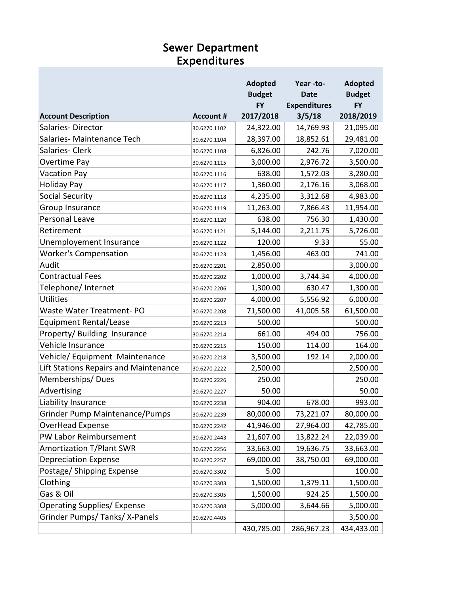#### Sewer Department Expenditures

|                                       |                  | <b>Adopted</b> | Year-to-            | <b>Adopted</b> |
|---------------------------------------|------------------|----------------|---------------------|----------------|
|                                       |                  | <b>Budget</b>  | <b>Date</b>         | <b>Budget</b>  |
|                                       |                  | <b>FY</b>      | <b>Expenditures</b> | <b>FY</b>      |
| <b>Account Description</b>            | <b>Account #</b> | 2017/2018      | 3/5/18              | 2018/2019      |
| Salaries-Director                     | 30.6270.1102     | 24,322.00      | 14,769.93           | 21,095.00      |
| Salaries-Maintenance Tech             | 30.6270.1104     | 28,397.00      | 18,852.61           | 29,481.00      |
| Salaries-Clerk                        | 30.6270.1108     | 6,826.00       | 242.76              | 7,020.00       |
| Overtime Pay                          | 30.6270.1115     | 3,000.00       | 2,976.72            | 3,500.00       |
| <b>Vacation Pay</b>                   | 30.6270.1116     | 638.00         | 1,572.03            | 3,280.00       |
| <b>Holiday Pay</b>                    | 30.6270.1117     | 1,360.00       | 2,176.16            | 3,068.00       |
| <b>Social Security</b>                | 30.6270.1118     | 4,235.00       | 3,312.68            | 4,983.00       |
| Group Insurance                       | 30.6270.1119     | 11,263.00      | 7,866.43            | 11,954.00      |
| Personal Leave                        | 30.6270.1120     | 638.00         | 756.30              | 1,430.00       |
| Retirement                            | 30.6270.1121     | 5,144.00       | 2,211.75            | 5,726.00       |
| Unemployement Insurance               | 30.6270.1122     | 120.00         | 9.33                | 55.00          |
| <b>Worker's Compensation</b>          | 30.6270.1123     | 1,456.00       | 463.00              | 741.00         |
| Audit                                 | 30.6270.2201     | 2,850.00       |                     | 3,000.00       |
| <b>Contractual Fees</b>               | 30.6270.2202     | 1,000.00       | 3,744.34            | 4,000.00       |
| Telephone/ Internet                   | 30.6270.2206     | 1,300.00       | 630.47              | 1,300.00       |
| <b>Utilities</b>                      | 30.6270.2207     | 4,000.00       | 5,556.92            | 6,000.00       |
| <b>Waste Water Treatment-PO</b>       | 30.6270.2208     | 71,500.00      | 41,005.58           | 61,500.00      |
| <b>Equipment Rental/Lease</b>         | 30.6270.2213     | 500.00         |                     | 500.00         |
| Property/ Building Insurance          | 30.6270.2214     | 661.00         | 494.00              | 756.00         |
| Vehicle Insurance                     | 30.6270.2215     | 150.00         | 114.00              | 164.00         |
| Vehicle/ Equipment Maintenance        | 30.6270.2218     | 3,500.00       | 192.14              | 2,000.00       |
| Lift Stations Repairs and Maintenance | 30.6270.2222     | 2,500.00       |                     | 2,500.00       |
| Memberships/Dues                      | 30.6270.2226     | 250.00         |                     | 250.00         |
| Advertising                           | 30.6270.2227     | 50.00          |                     | 50.00          |
| Liability Insurance                   | 30.6270.2238     | 904.00         | 678.00              | 993.00         |
| Grinder Pump Maintenance/Pumps        | 30.6270.2239     | 80,000.00      | 73,221.07           | 80,000.00      |
| <b>OverHead Expense</b>               | 30.6270.2242     | 41,946.00      | 27,964.00           | 42,785.00      |
| PW Labor Reimbursement                | 30.6270.2443     | 21,607.00      | 13,822.24           | 22,039.00      |
| <b>Amortization T/Plant SWR</b>       | 30.6270.2256     | 33,663.00      | 19,636.75           | 33,663.00      |
| <b>Depreciation Expense</b>           | 30.6270.2257     | 69,000.00      | 38,750.00           | 69,000.00      |
| Postage/ Shipping Expense             | 30.6270.3302     | 5.00           |                     | 100.00         |
| Clothing                              | 30.6270.3303     | 1,500.00       | 1,379.11            | 1,500.00       |
| Gas & Oil                             | 30.6270.3305     | 1,500.00       | 924.25              | 1,500.00       |
| <b>Operating Supplies/ Expense</b>    | 30.6270.3308     | 5,000.00       | 3,644.66            | 5,000.00       |
| Grinder Pumps/Tanks/X-Panels          | 30.6270.4405     |                |                     | 3,500.00       |
|                                       |                  | 430,785.00     | 286,967.23          | 434,433.00     |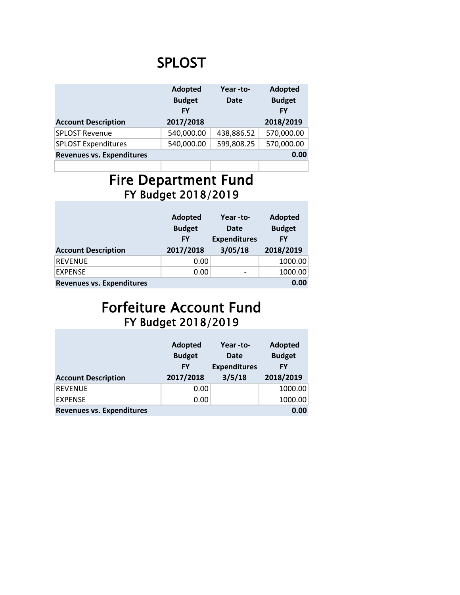# SPLOST

|                                  | Adopted<br>Year-to-<br><b>Budget</b><br><b>Date</b><br><b>FY</b> |            | <b>Adopted</b><br><b>Budget</b><br><b>FY</b> |
|----------------------------------|------------------------------------------------------------------|------------|----------------------------------------------|
| <b>Account Description</b>       | 2017/2018                                                        |            | 2018/2019                                    |
| <b>SPLOST Revenue</b>            | 540,000.00                                                       | 438,886.52 | 570,000.00                                   |
| <b>SPLOST Expenditures</b>       | 540,000.00                                                       | 599,808.25 | 570,000.00                                   |
| <b>Revenues vs. Expenditures</b> |                                                                  |            | 0.00                                         |
|                                  |                                                                  |            |                                              |

# Fire Department Fund FY Budget 2018/2019

|                                  | Adopted<br>Year -to- |                          | <b>Adopted</b> |
|----------------------------------|----------------------|--------------------------|----------------|
|                                  | <b>Budget</b>        | <b>Date</b>              | <b>Budget</b>  |
|                                  | <b>FY</b>            | <b>Expenditures</b>      | <b>FY</b>      |
| <b>Account Description</b>       | 2017/2018            | 3/05/18                  | 2018/2019      |
| <b>REVENUE</b>                   | 0.00                 |                          | 1000.00        |
| <b>EXPENSE</b>                   | 0.00                 | $\overline{\phantom{0}}$ | 1000.00        |
| <b>Revenues vs. Expenditures</b> |                      |                          | 0.00           |

### Forfeiture Account Fund FY Budget 2018/2019

|                                  | <b>Adopted</b><br><b>Budget</b><br>FY | Year -to-<br>Date<br><b>Expenditures</b> | Adopted<br><b>Budget</b><br>FY |
|----------------------------------|---------------------------------------|------------------------------------------|--------------------------------|
| <b>Account Description</b>       | 2017/2018                             | 3/5/18                                   | 2018/2019                      |
| <b>REVENUE</b>                   | 0.00                                  |                                          | 1000.00                        |
| <b>EXPENSE</b>                   | 0.00                                  |                                          | 1000.00                        |
| <b>Revenues vs. Expenditures</b> |                                       |                                          | 0.00                           |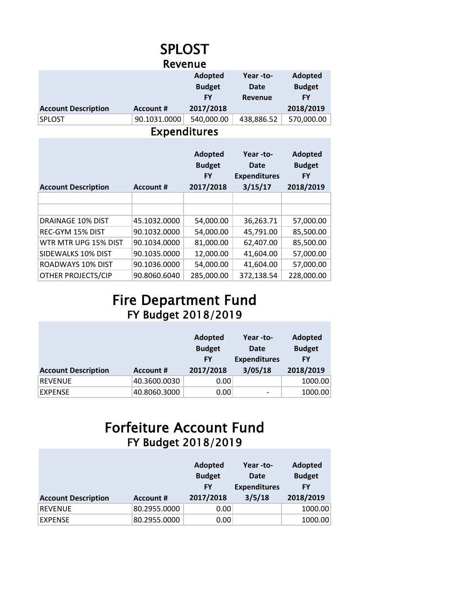#### SPLOST Revenue

|                            |                  | Adopted       | Year -to-      | <b>Adopted</b> |
|----------------------------|------------------|---------------|----------------|----------------|
|                            |                  | <b>Budget</b> | Date           | <b>Budget</b>  |
|                            |                  | FY            | <b>Revenue</b> | FY             |
| <b>Account Description</b> | <b>Account #</b> | 2017/2018     |                | 2018/2019      |
| <b>SPLOST</b>              | 90.1031.0000     | 540,000.00    | 438,886.52     | 570,000.00     |
|                            |                  |               |                |                |

Expenditures

| <b>Account Description</b> | <b>Account #</b> | Adopted<br><b>Budget</b><br><b>FY</b><br>2017/2018 | Year -to-<br>Date<br><b>Expenditures</b><br>3/15/17 | Adopted<br><b>Budget</b><br>FY<br>2018/2019 |
|----------------------------|------------------|----------------------------------------------------|-----------------------------------------------------|---------------------------------------------|
|                            |                  |                                                    |                                                     |                                             |
|                            |                  |                                                    |                                                     |                                             |
| DRAINAGE 10% DIST          | 45.1032.0000     | 54,000.00                                          | 36,263.71                                           | 57,000.00                                   |
| REC-GYM 15% DIST           | 90.1032.0000     | 54,000.00                                          | 45,791.00                                           | 85,500.00                                   |
| WTR MTR UPG 15% DIST       | 90.1034.0000     | 81,000.00                                          | 62,407.00                                           | 85,500.00                                   |
| SIDEWALKS 10% DIST         | 90.1035.0000     | 12,000.00                                          | 41,604.00                                           | 57,000.00                                   |
| ROADWAYS 10% DIST          | 90.1036.0000     | 54,000.00                                          | 41,604.00                                           | 57,000.00                                   |
| <b>OTHER PROJECTS/CIP</b>  | 90.8060.6040     | 285,000.00                                         | 372,138.54                                          | 228,000.00                                  |

# Fire Department Fund FY Budget 2018/2019

|                            |                  | Adopted<br><b>Budget</b><br><b>FY</b> | Year -to-<br>Date<br><b>Expenditures</b> | <b>Adopted</b><br><b>Budget</b><br>FY |
|----------------------------|------------------|---------------------------------------|------------------------------------------|---------------------------------------|
| <b>Account Description</b> | <b>Account #</b> | 2017/2018                             | 3/05/18                                  | 2018/2019                             |
| <b>REVENUE</b>             | 40.3600.0030     | 0.00                                  |                                          | 1000.00                               |
| <b>EXPENSE</b>             | 40.8060.3000     | 0.00                                  | -                                        | 1000.00                               |

# Forfeiture Account Fund FY Budget 2018/2019

|                            |                  | <b>Adopted</b><br><b>Budget</b><br><b>FY</b> | Year -to-<br>Date<br><b>Expenditures</b> | <b>Adopted</b><br><b>Budget</b><br>FY |
|----------------------------|------------------|----------------------------------------------|------------------------------------------|---------------------------------------|
| <b>Account Description</b> | <b>Account #</b> | 2017/2018                                    | 3/5/18                                   | 2018/2019                             |
| <b>REVENUE</b>             | 80.2955.0000     | 0.00                                         |                                          | 1000.00                               |
| <b>EXPENSE</b>             | 80.2955.0000     | 0.00                                         |                                          | 1000.00                               |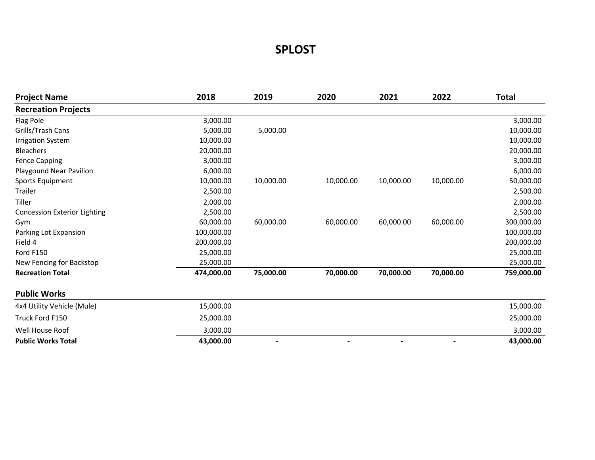#### **SPLOST**

| <b>Project Name</b>                 | 2018       | 2019      | 2020      | 2021           | 2022      | <b>Total</b> |
|-------------------------------------|------------|-----------|-----------|----------------|-----------|--------------|
| <b>Recreation Projects</b>          |            |           |           |                |           |              |
| Flag Pole                           | 3,000.00   |           |           |                |           | 3,000.00     |
| Grills/Trash Cans                   | 5,000.00   | 5,000.00  |           |                |           | 10,000.00    |
| <b>Irrigation System</b>            | 10,000.00  |           |           |                |           | 10,000.00    |
| <b>Bleachers</b>                    | 20,000.00  |           |           |                |           | 20,000.00    |
| <b>Fence Capping</b>                | 3,000.00   |           |           |                |           | 3,000.00     |
| Playgound Near Pavilion             | 6,000.00   |           |           |                |           | 6,000.00     |
| Sports Equipment                    | 10,000.00  | 10,000.00 | 10,000.00 | 10,000.00      | 10,000.00 | 50,000.00    |
| Trailer                             | 2,500.00   |           |           |                |           | 2,500.00     |
| Tiller                              | 2,000.00   |           |           |                |           | 2,000.00     |
| <b>Concession Exterior Lighting</b> | 2,500.00   |           |           |                |           | 2,500.00     |
| Gym                                 | 60,000.00  | 60,000.00 | 60,000.00 | 60,000.00      | 60,000.00 | 300,000.00   |
| Parking Lot Expansion               | 100,000.00 |           |           |                |           | 100,000.00   |
| Field 4                             | 200,000.00 |           |           |                |           | 200,000.00   |
| Ford F150                           | 25,000.00  |           |           |                |           | 25,000.00    |
| New Fencing for Backstop            | 25,000.00  |           |           |                |           | 25,000.00    |
| <b>Recreation Total</b>             | 474,000.00 | 75,000.00 | 70,000.00 | 70,000.00      | 70,000.00 | 759,000.00   |
| <b>Public Works</b>                 |            |           |           |                |           |              |
| 4x4 Utility Vehicle (Mule)          | 15,000.00  |           |           |                |           | 15,000.00    |
| Truck Ford F150                     | 25,000.00  |           |           |                |           | 25,000.00    |
| Well House Roof                     | 3,000.00   |           |           |                |           | 3,000.00     |
| <b>Public Works Total</b>           | 43,000.00  |           |           | $\blacksquare$ | ٠         | 43,000.00    |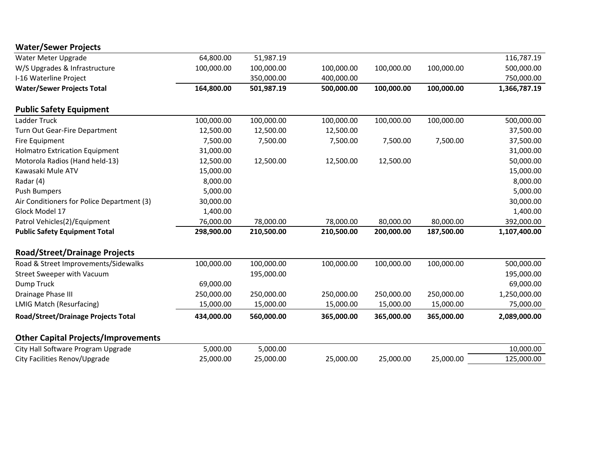| <b>Water/Sewer Projects</b>                |            |            |            |            |            |              |
|--------------------------------------------|------------|------------|------------|------------|------------|--------------|
| Water Meter Upgrade                        | 64,800.00  | 51,987.19  |            |            |            | 116,787.19   |
| W/S Upgrades & Infrastructure              | 100,000.00 | 100,000.00 | 100,000.00 | 100,000.00 | 100,000.00 | 500,000.00   |
| I-16 Waterline Project                     |            | 350,000.00 | 400,000.00 |            |            | 750,000.00   |
| <b>Water/Sewer Projects Total</b>          | 164,800.00 | 501,987.19 | 500,000.00 | 100,000.00 | 100,000.00 | 1,366,787.19 |
| <b>Public Safety Equipment</b>             |            |            |            |            |            |              |
| Ladder Truck                               | 100,000.00 | 100,000.00 | 100,000.00 | 100,000.00 | 100,000.00 | 500,000.00   |
| Turn Out Gear-Fire Department              | 12,500.00  | 12,500.00  | 12,500.00  |            |            | 37,500.00    |
| Fire Equipment                             | 7,500.00   | 7,500.00   | 7,500.00   | 7,500.00   | 7,500.00   | 37,500.00    |
| <b>Holmatro Extrication Equipment</b>      | 31,000.00  |            |            |            |            | 31,000.00    |
| Motorola Radios (Hand held-13)             | 12,500.00  | 12,500.00  | 12,500.00  | 12,500.00  |            | 50,000.00    |
| Kawasaki Mule ATV                          | 15,000.00  |            |            |            |            | 15,000.00    |
| Radar (4)                                  | 8,000.00   |            |            |            |            | 8,000.00     |
| <b>Push Bumpers</b>                        | 5,000.00   |            |            |            |            | 5,000.00     |
| Air Conditioners for Police Department (3) | 30,000.00  |            |            |            |            | 30,000.00    |
| Glock Model 17                             | 1,400.00   |            |            |            |            | 1,400.00     |
| Patrol Vehicles(2)/Equipment               | 76,000.00  | 78,000.00  | 78,000.00  | 80,000.00  | 80,000.00  | 392,000.00   |
| <b>Public Safety Equipment Total</b>       | 298,900.00 | 210,500.00 | 210,500.00 | 200,000.00 | 187,500.00 | 1,107,400.00 |
| <b>Road/Street/Drainage Projects</b>       |            |            |            |            |            |              |
| Road & Street Improvements/Sidewalks       | 100,000.00 | 100,000.00 | 100,000.00 | 100,000.00 | 100,000.00 | 500,000.00   |
| <b>Street Sweeper with Vacuum</b>          |            | 195,000.00 |            |            |            | 195,000.00   |
| Dump Truck                                 | 69,000.00  |            |            |            |            | 69,000.00    |
| Drainage Phase III                         | 250,000.00 | 250,000.00 | 250,000.00 | 250,000.00 | 250,000.00 | 1,250,000.00 |
| <b>LMIG Match (Resurfacing)</b>            | 15,000.00  | 15,000.00  | 15,000.00  | 15,000.00  | 15,000.00  | 75,000.00    |
| <b>Road/Street/Drainage Projects Total</b> | 434,000.00 | 560,000.00 | 365,000.00 | 365,000.00 | 365,000.00 | 2,089,000.00 |
| <b>Other Capital Projects/Improvements</b> |            |            |            |            |            |              |
| City Hall Software Program Upgrade         | 5,000.00   | 5,000.00   |            |            |            | 10,000.00    |
| City Facilities Renov/Upgrade              | 25,000.00  | 25,000.00  | 25,000.00  | 25,000.00  | 25,000.00  | 125,000.00   |
|                                            |            |            |            |            |            |              |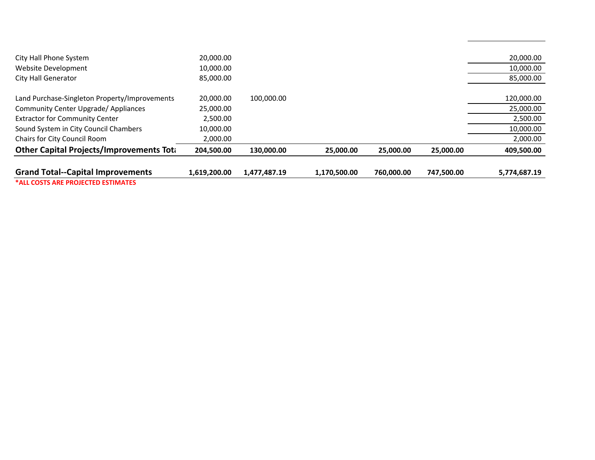| <b>Grand Total--Capital Improvements</b>         | 1,619,200.00 | 1,477,487.19 | 1,170,500.00 | 760.000.00 | 747,500.00 | 5,774,687.19 |
|--------------------------------------------------|--------------|--------------|--------------|------------|------------|--------------|
| <b>Other Capital Projects/Improvements Total</b> | 204.500.00   | 130,000.00   | 25,000,00    | 25,000.00  | 25,000.00  | 409,500.00   |
|                                                  |              |              |              |            |            |              |
| Chairs for City Council Room                     | 2,000.00     |              |              |            |            | 2,000.00     |
| Sound System in City Council Chambers            | 10,000.00    |              |              |            |            | 10,000.00    |
| <b>Extractor for Community Center</b>            | 2.500.00     |              |              |            |            | 2,500.00     |
| <b>Community Center Upgrade/ Appliances</b>      | 25,000.00    |              |              |            |            | 25,000.00    |
| Land Purchase-Singleton Property/Improvements    | 20.000.00    | 100.000.00   |              |            |            | 120,000.00   |
| <b>City Hall Generator</b>                       | 85,000.00    |              |              |            |            | 85,000.00    |
| Website Development                              | 10,000.00    |              |              |            |            | 10,000.00    |
| City Hall Phone System                           | 20,000.00    |              |              |            |            | 20,000.00    |
|                                                  |              |              |              |            |            |              |

**\*ALL COSTS ARE PROJECTED ESTIMATES**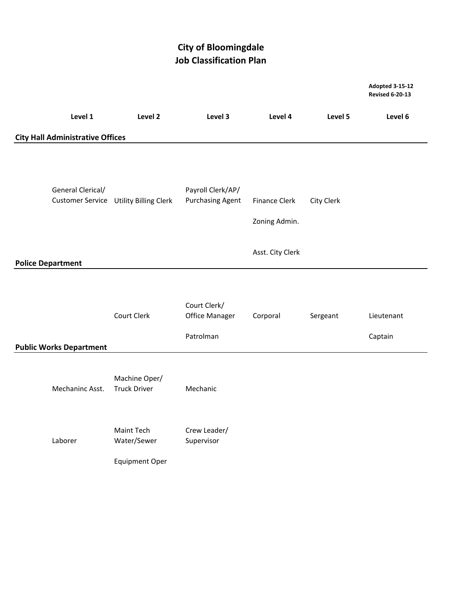#### **City of Bloomingdale Job Classification Plan**

**Adopted 3-15-12**

|                                         |                                                           |                                              |                                |            | <b>Revised 6-20-13</b> |
|-----------------------------------------|-----------------------------------------------------------|----------------------------------------------|--------------------------------|------------|------------------------|
| Level 1                                 | Level 2                                                   | Level 3                                      | Level 4                        | Level 5    | Level 6                |
| <b>City Hall Administrative Offices</b> |                                                           |                                              |                                |            |                        |
| General Clerical/                       | <b>Customer Service Utility Billing Clerk</b>             | Payroll Clerk/AP/<br><b>Purchasing Agent</b> | Finance Clerk<br>Zoning Admin. | City Clerk |                        |
| <b>Police Department</b>                |                                                           |                                              | Asst. City Clerk               |            |                        |
|                                         |                                                           |                                              |                                |            |                        |
|                                         | Court Clerk                                               | Court Clerk/<br>Office Manager               | Corporal                       | Sergeant   | Lieutenant             |
| <b>Public Works Department</b>          |                                                           | Patrolman                                    |                                |            | Captain                |
| Mechaninc Asst.                         | Machine Oper/<br><b>Truck Driver</b>                      | Mechanic                                     |                                |            |                        |
| Laborer                                 | <b>Maint Tech</b><br>Water/Sewer<br><b>Equipment Oper</b> | Crew Leader/<br>Supervisor                   |                                |            |                        |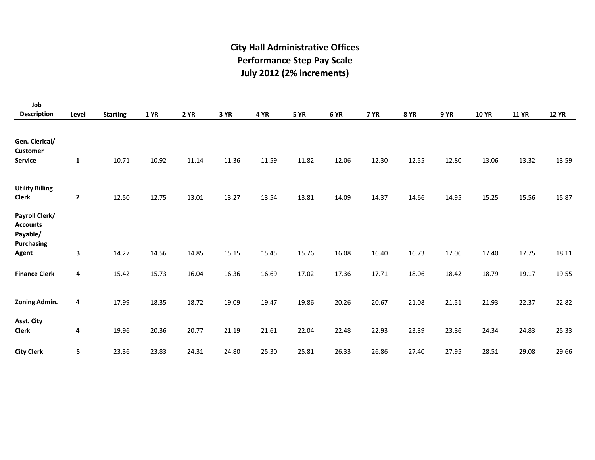#### **July 2012 (2% increments) City Hall Administrative Offices Performance Step Pay Scale**

| Job                                                                |              |                 |             |             |       |       |       |       |             |             |             |              |              |              |
|--------------------------------------------------------------------|--------------|-----------------|-------------|-------------|-------|-------|-------|-------|-------------|-------------|-------------|--------------|--------------|--------------|
| <b>Description</b>                                                 | Level        | <b>Starting</b> | <b>1 YR</b> | <b>2 YR</b> | 3 YR  | 4 YR  | 5 YR  | 6 YR  | <b>7 YR</b> | <b>8 YR</b> | <b>9 YR</b> | <b>10 YR</b> | <b>11 YR</b> | <b>12 YR</b> |
| Gen. Clerical/<br><b>Customer</b><br><b>Service</b>                | $\mathbf{1}$ | 10.71           | 10.92       | 11.14       | 11.36 | 11.59 | 11.82 | 12.06 | 12.30       | 12.55       | 12.80       | 13.06        | 13.32        | 13.59        |
| <b>Utility Billing</b><br><b>Clerk</b>                             | $\mathbf{2}$ | 12.50           | 12.75       | 13.01       | 13.27 | 13.54 | 13.81 | 14.09 | 14.37       | 14.66       | 14.95       | 15.25        | 15.56        | 15.87        |
| Payroll Clerk/<br><b>Accounts</b><br>Payable/<br><b>Purchasing</b> |              |                 |             |             |       |       |       |       |             |             |             |              |              |              |
| Agent                                                              | $\mathbf{3}$ | 14.27           | 14.56       | 14.85       | 15.15 | 15.45 | 15.76 | 16.08 | 16.40       | 16.73       | 17.06       | 17.40        | 17.75        | 18.11        |
| <b>Finance Clerk</b>                                               | 4            | 15.42           | 15.73       | 16.04       | 16.36 | 16.69 | 17.02 | 17.36 | 17.71       | 18.06       | 18.42       | 18.79        | 19.17        | 19.55        |
| Zoning Admin.                                                      | 4            | 17.99           | 18.35       | 18.72       | 19.09 | 19.47 | 19.86 | 20.26 | 20.67       | 21.08       | 21.51       | 21.93        | 22.37        | 22.82        |
| Asst. City<br><b>Clerk</b>                                         | 4            | 19.96           | 20.36       | 20.77       | 21.19 | 21.61 | 22.04 | 22.48 | 22.93       | 23.39       | 23.86       | 24.34        | 24.83        | 25.33        |
| <b>City Clerk</b>                                                  | 5            | 23.36           | 23.83       | 24.31       | 24.80 | 25.30 | 25.81 | 26.33 | 26.86       | 27.40       | 27.95       | 28.51        | 29.08        | 29.66        |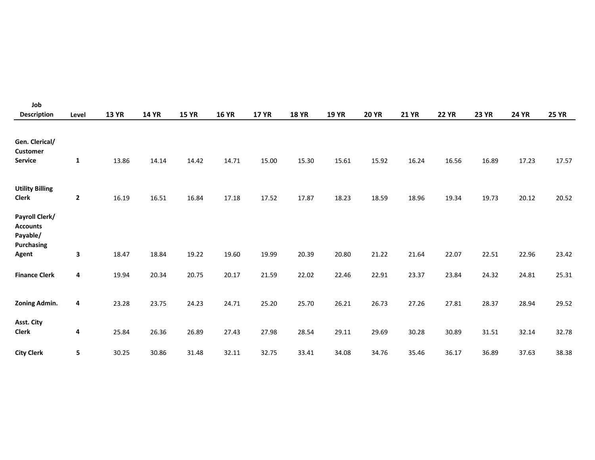| Job                                                                  |                         |              |              |              |              |              |              |              |              |              |              |              |              |              |
|----------------------------------------------------------------------|-------------------------|--------------|--------------|--------------|--------------|--------------|--------------|--------------|--------------|--------------|--------------|--------------|--------------|--------------|
| <b>Description</b>                                                   | Level                   | <b>13 YR</b> | <b>14 YR</b> | <b>15 YR</b> | <b>16 YR</b> | <b>17 YR</b> | <b>18 YR</b> | <b>19 YR</b> | <b>20 YR</b> | <b>21 YR</b> | <b>22 YR</b> | <b>23 YR</b> | <b>24 YR</b> | <b>25 YR</b> |
| Gen. Clerical/<br><b>Customer</b><br>Service                         | $\mathbf{1}$            | 13.86        | 14.14        | 14.42        | 14.71        | 15.00        | 15.30        | 15.61        | 15.92        | 16.24        | 16.56        | 16.89        | 17.23        | 17.57        |
| <b>Utility Billing</b><br><b>Clerk</b>                               | $\overline{\mathbf{2}}$ | 16.19        | 16.51        | 16.84        | 17.18        | 17.52        | 17.87        | 18.23        | 18.59        | 18.96        | 19.34        | 19.73        | 20.12        | 20.52        |
| Payroll Clerk/<br><b>Accounts</b><br>Payable/<br>Purchasing<br>Agent | 3                       | 18.47        | 18.84        | 19.22        | 19.60        | 19.99        | 20.39        | 20.80        | 21.22        | 21.64        | 22.07        | 22.51        | 22.96        | 23.42        |
| <b>Finance Clerk</b>                                                 | 4                       | 19.94        | 20.34        | 20.75        | 20.17        | 21.59        | 22.02        | 22.46        | 22.91        | 23.37        | 23.84        | 24.32        | 24.81        | 25.31        |
| <b>Zoning Admin.</b>                                                 | 4                       | 23.28        | 23.75        | 24.23        | 24.71        | 25.20        | 25.70        | 26.21        | 26.73        | 27.26        | 27.81        | 28.37        | 28.94        | 29.52        |
| Asst. City<br><b>Clerk</b>                                           | 4                       | 25.84        | 26.36        | 26.89        | 27.43        | 27.98        | 28.54        | 29.11        | 29.69        | 30.28        | 30.89        | 31.51        | 32.14        | 32.78        |
| <b>City Clerk</b>                                                    | 5                       | 30.25        | 30.86        | 31.48        | 32.11        | 32.75        | 33.41        | 34.08        | 34.76        | 35.46        | 36.17        | 36.89        | 37.63        | 38.38        |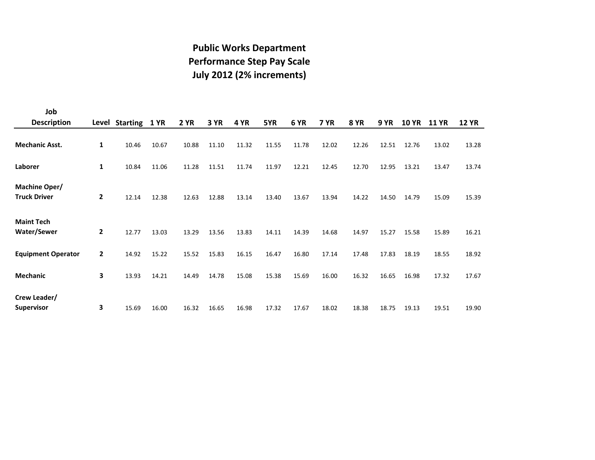#### **July 2012 (2% increments) Performance Step Pay Scale Public Works Department**

| Job                                  |              |                     |       |             |       |       |       |       |       |             |       |              |              |              |
|--------------------------------------|--------------|---------------------|-------|-------------|-------|-------|-------|-------|-------|-------------|-------|--------------|--------------|--------------|
| <b>Description</b>                   |              | Level Starting 1 YR |       | <b>2 YR</b> | 3 YR  | 4 YR  | 5YR   | 6 YR  | 7 YR  | <b>8 YR</b> | 9 YR  | <b>10 YR</b> | <b>11 YR</b> | <b>12 YR</b> |
| <b>Mechanic Asst.</b>                | 1            | 10.46               | 10.67 | 10.88       | 11.10 | 11.32 | 11.55 | 11.78 | 12.02 | 12.26       | 12.51 | 12.76        | 13.02        | 13.28        |
| Laborer                              | 1            | 10.84               | 11.06 | 11.28       | 11.51 | 11.74 | 11.97 | 12.21 | 12.45 | 12.70       | 12.95 | 13.21        | 13.47        | 13.74        |
| Machine Oper/<br><b>Truck Driver</b> | $\mathbf{2}$ | 12.14               | 12.38 | 12.63       | 12.88 | 13.14 | 13.40 | 13.67 | 13.94 | 14.22       | 14.50 | 14.79        | 15.09        | 15.39        |
| <b>Maint Tech</b><br>Water/Sewer     | $\mathbf{2}$ | 12.77               | 13.03 | 13.29       | 13.56 | 13.83 | 14.11 | 14.39 | 14.68 | 14.97       | 15.27 | 15.58        | 15.89        | 16.21        |
| <b>Equipment Operator</b>            | $\mathbf{2}$ | 14.92               | 15.22 | 15.52       | 15.83 | 16.15 | 16.47 | 16.80 | 17.14 | 17.48       | 17.83 | 18.19        | 18.55        | 18.92        |
| <b>Mechanic</b>                      | 3            | 13.93               | 14.21 | 14.49       | 14.78 | 15.08 | 15.38 | 15.69 | 16.00 | 16.32       | 16.65 | 16.98        | 17.32        | 17.67        |
| Crew Leader/<br><b>Supervisor</b>    | 3            | 15.69               | 16.00 | 16.32       | 16.65 | 16.98 | 17.32 | 17.67 | 18.02 | 18.38       | 18.75 | 19.13        | 19.51        | 19.90        |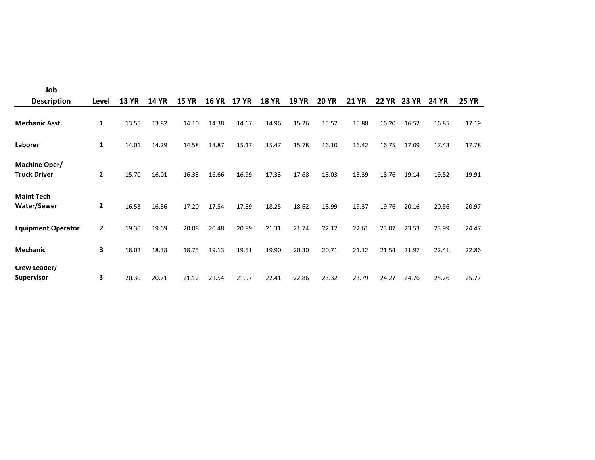| Job                                     |              |              |       |              |              |                 |              |              |              |              |              |              |              |              |
|-----------------------------------------|--------------|--------------|-------|--------------|--------------|-----------------|--------------|--------------|--------------|--------------|--------------|--------------|--------------|--------------|
| <b>Description</b>                      | Level        | <b>13 YR</b> | 14 YR | <b>15 YR</b> | <b>16 YR</b> | 17<br><b>YR</b> | <b>18 YR</b> | <b>19 YR</b> | <b>20 YR</b> | <b>21 YR</b> | <b>22 YR</b> | <b>23 YR</b> | <b>24 YR</b> | <b>25 YR</b> |
| <b>Mechanic Asst.</b>                   | 1            | 13.55        | 13.82 | 14.10        | 14.38        | 14.67           | 14.96        | 15.26        | 15.57        | 15.88        | 16.20        | 16.52        | 16.85        | 17.19        |
| Laborer                                 | 1            | 14.01        | 14.29 | 14.58        | 14.87        | 15.17           | 15.47        | 15.78        | 16.10        | 16.42        | 16.75        | 17.09        | 17.43        | 17.78        |
| Machine Oper/<br><b>Truck Driver</b>    | $\mathbf{2}$ | 15.70        | 16.01 | 16.33        | 16.66        | 16.99           | 17.33        | 17.68        | 18.03        | 18.39        | 18.76        | 19.14        | 19.52        | 19.91        |
| <b>Maint Tech</b><br><b>Water/Sewer</b> | 2            | 16.53        | 16.86 | 17.20        | 17.54        | 17.89           | 18.25        | 18.62        | 18.99        | 19.37        | 19.76        | 20.16        | 20.56        | 20.97        |
| <b>Equipment Operator</b>               | 2            | 19.30        | 19.69 | 20.08        | 20.48        | 20.89           | 21.31        | 21.74        | 22.17        | 22.61        | 23.07        | 23.53        | 23.99        | 24.47        |
| <b>Mechanic</b>                         | 3            | 18.02        | 18.38 | 18.75        | 19.13        | 19.51           | 19.90        | 20.30        | 20.71        | 21.12        | 21.54        | 21.97        | 22.41        | 22.86        |
| Crew Leader/<br><b>Supervisor</b>       | 3            | 20.30        | 20.71 | 21.12        | 21.54        | 21.97           | 22.41        | 22.86        | 23.32        | 23.79        | 24.27        | 24.76        | 25.26        | 25.77        |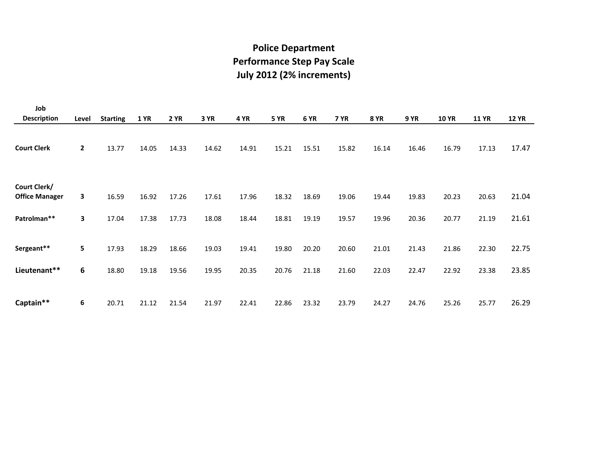#### **Police Department Performance Step Pay Scale July 2012 (2% increments)**

| Job                                   |              |                 |             |             |       |       |             |       |             |             |             |              |              |              |
|---------------------------------------|--------------|-----------------|-------------|-------------|-------|-------|-------------|-------|-------------|-------------|-------------|--------------|--------------|--------------|
| <b>Description</b>                    | Level        | <b>Starting</b> | <b>1 YR</b> | <b>2 YR</b> | 3 YR  | 4 YR  | <b>5 YR</b> | 6 YR  | <b>7 YR</b> | <b>8 YR</b> | <b>9 YR</b> | <b>10 YR</b> | <b>11 YR</b> | <b>12 YR</b> |
| <b>Court Clerk</b>                    | $\mathbf{2}$ | 13.77           | 14.05       | 14.33       | 14.62 | 14.91 | 15.21       | 15.51 | 15.82       | 16.14       | 16.46       | 16.79        | 17.13        | 17.47        |
| Court Clerk/<br><b>Office Manager</b> | 3            | 16.59           | 16.92       | 17.26       | 17.61 | 17.96 | 18.32       | 18.69 | 19.06       | 19.44       | 19.83       | 20.23        | 20.63        | 21.04        |
| Patrolman**                           | 3            | 17.04           | 17.38       | 17.73       | 18.08 | 18.44 | 18.81       | 19.19 | 19.57       | 19.96       | 20.36       | 20.77        | 21.19        | 21.61        |
| Sergeant**                            | 5            | 17.93           | 18.29       | 18.66       | 19.03 | 19.41 | 19.80       | 20.20 | 20.60       | 21.01       | 21.43       | 21.86        | 22.30        | 22.75        |
| Lieutenant**                          | 6            | 18.80           | 19.18       | 19.56       | 19.95 | 20.35 | 20.76       | 21.18 | 21.60       | 22.03       | 22.47       | 22.92        | 23.38        | 23.85        |
| Captain**                             | 6            | 20.71           | 21.12       | 21.54       | 21.97 | 22.41 | 22.86       | 23.32 | 23.79       | 24.27       | 24.76       | 25.26        | 25.77        | 26.29        |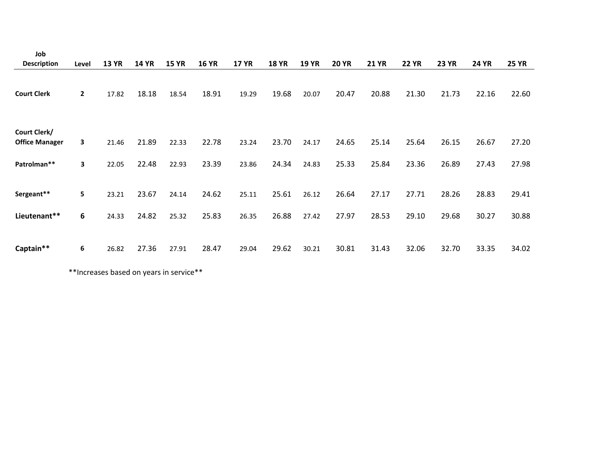| Job                                   |              |              |              |              |              |              |              |              |              |              |              |              |              |              |
|---------------------------------------|--------------|--------------|--------------|--------------|--------------|--------------|--------------|--------------|--------------|--------------|--------------|--------------|--------------|--------------|
| <b>Description</b>                    | Level        | <b>13 YR</b> | <b>14 YR</b> | <b>15 YR</b> | <b>16 YR</b> | <b>17 YR</b> | <b>18 YR</b> | <b>19 YR</b> | <b>20 YR</b> | <b>21 YR</b> | <b>22 YR</b> | <b>23 YR</b> | <b>24 YR</b> | <b>25 YR</b> |
| <b>Court Clerk</b>                    | $\mathbf{2}$ | 17.82        | 18.18        | 18.54        | 18.91        | 19.29        | 19.68        | 20.07        | 20.47        | 20.88        | 21.30        | 21.73        | 22.16        | 22.60        |
| Court Clerk/<br><b>Office Manager</b> | 3            | 21.46        | 21.89        | 22.33        | 22.78        | 23.24        | 23.70        | 24.17        | 24.65        | 25.14        | 25.64        | 26.15        | 26.67        | 27.20        |
| Patrolman**                           | 3            | 22.05        | 22.48        | 22.93        | 23.39        | 23.86        | 24.34        | 24.83        | 25.33        | 25.84        | 23.36        | 26.89        | 27.43        | 27.98        |
| Sergeant**                            | 5            | 23.21        | 23.67        | 24.14        | 24.62        | 25.11        | 25.61        | 26.12        | 26.64        | 27.17        | 27.71        | 28.26        | 28.83        | 29.41        |
| Lieutenant**                          | 6            | 24.33        | 24.82        | 25.32        | 25.83        | 26.35        | 26.88        | 27.42        | 27.97        | 28.53        | 29.10        | 29.68        | 30.27        | 30.88        |
| Captain**                             | 6            | 26.82        | 27.36        | 27.91        | 28.47        | 29.04        | 29.62        | 30.21        | 30.81        | 31.43        | 32.06        | 32.70        | 33.35        | 34.02        |

\*\*Increases based on years in service\*\*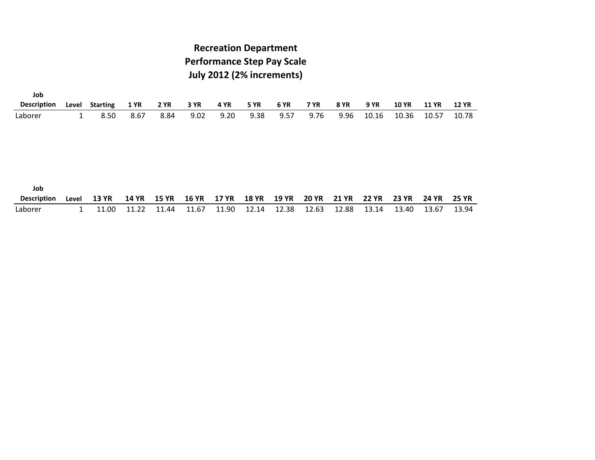#### **July 2012 (2% increments) Performance Step Pay Scale Recreation Department**

| Job                       |       |                 |              |              |              |              |              |              |              |              |              |              |              |              |
|---------------------------|-------|-----------------|--------------|--------------|--------------|--------------|--------------|--------------|--------------|--------------|--------------|--------------|--------------|--------------|
| <b>Description</b>        | Level | <b>Starting</b> | <b>1 YR</b>  | <b>2 YR</b>  | 3 YR         | 4 YR         | <b>5 YR</b>  | <b>6 YR</b>  | <b>7 YR</b>  | <b>8 YR</b>  | <b>9 YR</b>  | <b>10 YR</b> | <b>11 YR</b> | <b>12 YR</b> |
| Laborer                   | 1     | 8.50            | 8.67         | 8.84         | 9.02         | 9.20         | 9.38         | 9.57         | 9.76         | 9.96         | 10.16        | 10.36        | 10.57        | 10.78        |
| Job<br><b>Description</b> | Level | <b>13 YR</b>    | <b>14 YR</b> | <b>15 YR</b> | <b>16 YR</b> | <b>17 YR</b> | <b>18 YR</b> | <b>19 YR</b> | <b>20 YR</b> | <b>21 YR</b> | <b>22 YR</b> | <b>23 YR</b> | <b>24 YR</b> | <b>25 YR</b> |
| Laborer                   | 1     | 11.00           | 11.22        | 11.44        | 11.67        | 11.90        | 12.14        | 12.38        | 12.63        | 12.88        | 13.14        | 13.40        | 13.67        | 13.94        |